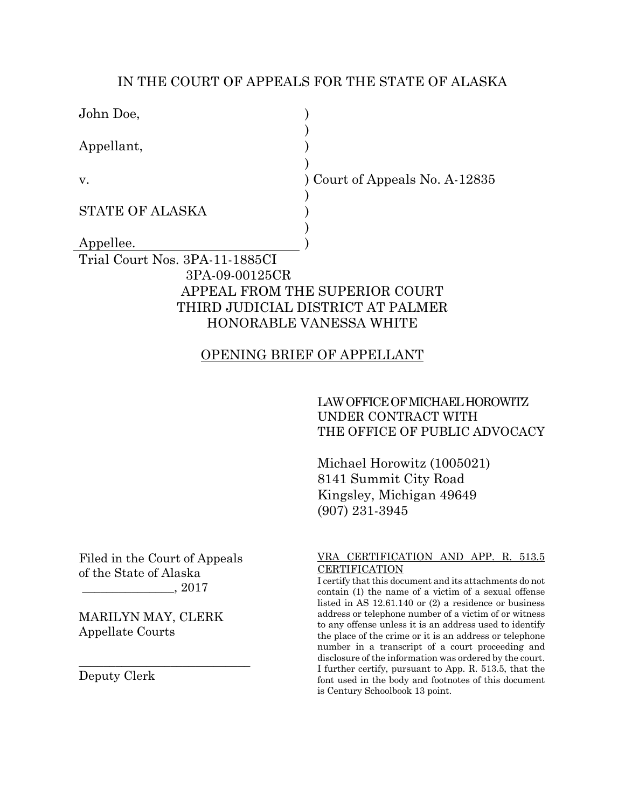### IN THE COURT OF APPEALS FOR THE STATE OF ALASKA

| John Doe,                      |                                   |  |
|--------------------------------|-----------------------------------|--|
| Appellant,                     |                                   |  |
| v.                             | Court of Appeals No. A-12835      |  |
| <b>STATE OF ALASKA</b>         |                                   |  |
|                                |                                   |  |
| Appellee.                      |                                   |  |
| Trial Court Nos. 3PA-11-1885CI |                                   |  |
| 3PA-09-00125CR                 |                                   |  |
|                                | APPEAL FROM THE SUPERIOR COURT    |  |
|                                | THIRD JUDICIAL DISTRICT AT PALMER |  |
| HONORABLE VANESSA WHITE        |                                   |  |
|                                |                                   |  |

## OPENING BRIEF OF APPELLANT

## LAW OFFICE OF MICHAEL HOROWITZ UNDER CONTRACT WITH THE OFFICE OF PUBLIC ADVOCACY

Michael Horowitz (1005021) 8141 Summit City Road Kingsley, Michigan 49649 (907) 231-3945

Filed in the Court of Appeals of the State of Alaska \_\_\_\_\_\_\_\_\_\_\_\_\_\_\_, 2017

MARILYN MAY, CLERK Appellate Courts

\_\_\_\_\_\_\_\_\_\_\_\_\_\_\_\_\_\_\_\_\_\_\_\_\_\_\_\_

Deputy Clerk

#### VRA CERTIFICATION AND APP. R. 513.5 **CERTIFICATION**

I certify that this document and its attachments do not contain (1) the name of a victim of a sexual offense listed in AS 12.61.140 or (2) a residence or business address or telephone number of a victim of or witness to any offense unless it is an address used to identify the place of the crime or it is an address or telephone number in a transcript of a court proceeding and disclosure of the information was ordered by the court. I further certify, pursuant to App. R. 513.5, that the font used in the body and footnotes of this document is Century Schoolbook 13 point.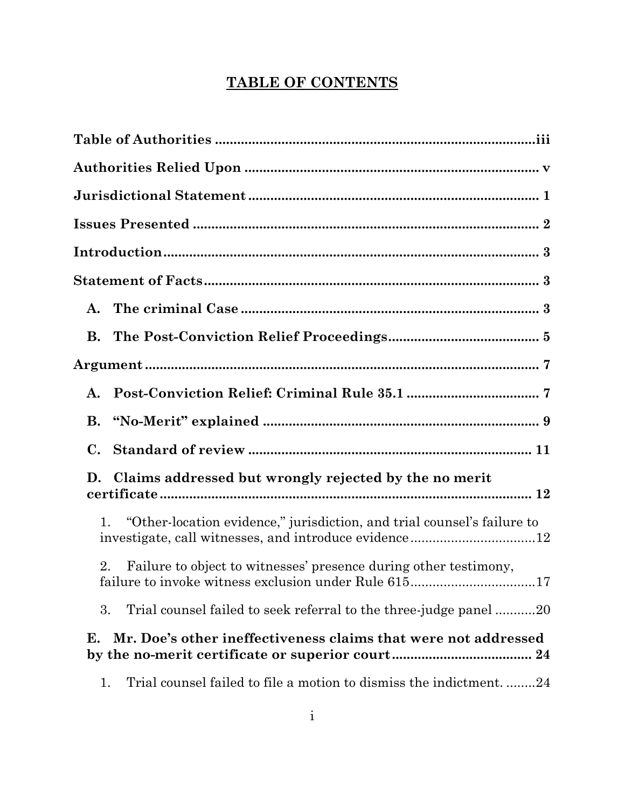# **TABLE OF CONTENTS**

| A.                                                                            |
|-------------------------------------------------------------------------------|
| В.                                                                            |
|                                                                               |
| A.                                                                            |
| В.                                                                            |
| С.                                                                            |
| D.<br>Claims addressed but wrongly rejected by the no merit                   |
| "Other-location evidence," jurisdiction, and trial counsel's failure to<br>1. |
| Failure to object to witnesses' presence during other testimony,<br>2.        |
| 3.<br>Trial counsel failed to seek referral to the three-judge panel 20       |
| Mr. Doe's other ineffectiveness claims that were not addressed<br>Е.          |
| Trial counsel failed to file a motion to dismiss the indictment24<br>1.       |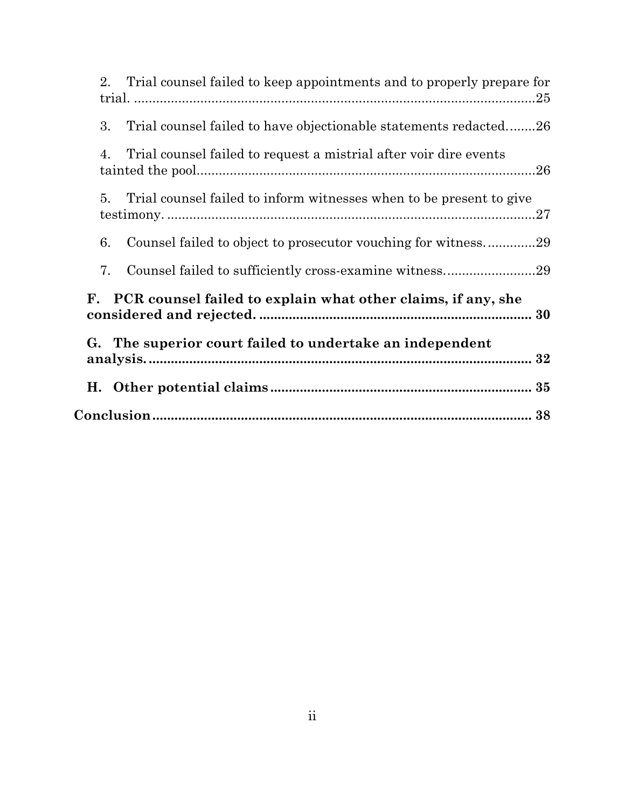| 2.<br>Trial counsel failed to keep appointments and to properly prepare for |
|-----------------------------------------------------------------------------|
| 3.<br>Trial counsel failed to have objectionable statements redacted26      |
| Trial counsel failed to request a mistrial after voir dire events<br>4.     |
| 5.<br>Trial counsel failed to inform witnesses when to be present to give   |
| 6.<br>Counsel failed to object to prosecutor vouching for witness29         |
| 7.                                                                          |
| PCR counsel failed to explain what other claims, if any, she<br>F.          |
| G. The superior court failed to undertake an independent                    |
|                                                                             |
|                                                                             |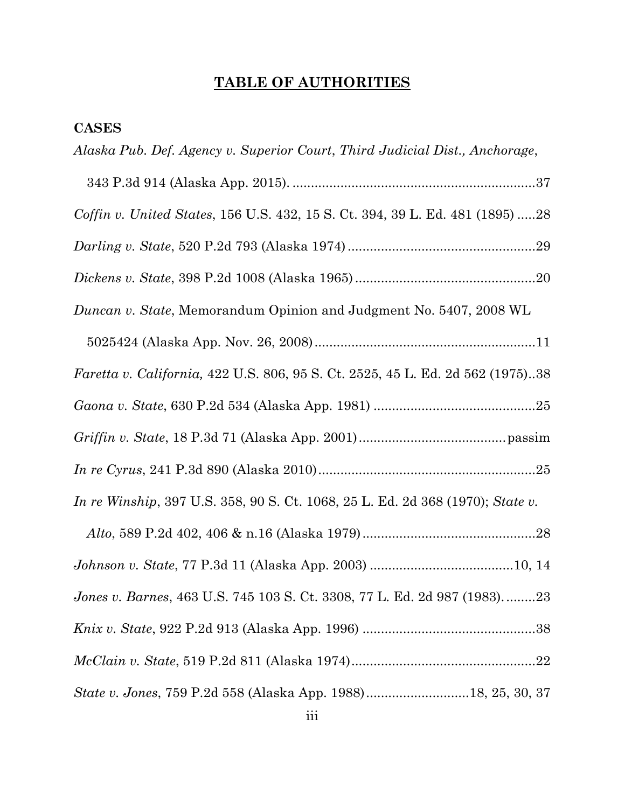# **TABLE OF AUTHORITIES**

## **CASES**

| Alaska Pub. Def. Agency v. Superior Court, Third Judicial Dist., Anchorage,    |
|--------------------------------------------------------------------------------|
|                                                                                |
| Coffin v. United States, 156 U.S. 432, 15 S. Ct. 394, 39 L. Ed. 481 (1895) 28  |
|                                                                                |
|                                                                                |
| Duncan v. State, Memorandum Opinion and Judgment No. 5407, 2008 WL             |
|                                                                                |
| Faretta v. California, 422 U.S. 806, 95 S. Ct. 2525, 45 L. Ed. 2d 562 (1975)38 |
|                                                                                |
|                                                                                |
|                                                                                |
| In re Winship, 397 U.S. 358, 90 S. Ct. 1068, 25 L. Ed. 2d 368 (1970); State v. |
|                                                                                |
|                                                                                |
| Jones v. Barnes, 463 U.S. 745 103 S. Ct. 3308, 77 L. Ed. 2d 987 (1983)23       |
|                                                                                |
| $\emph{McClaim v. State, 519 P.2d 811 (Alaska 1974)22}$                        |
| State v. Jones, 759 P.2d 558 (Alaska App. 1988)18, 25, 30, 37                  |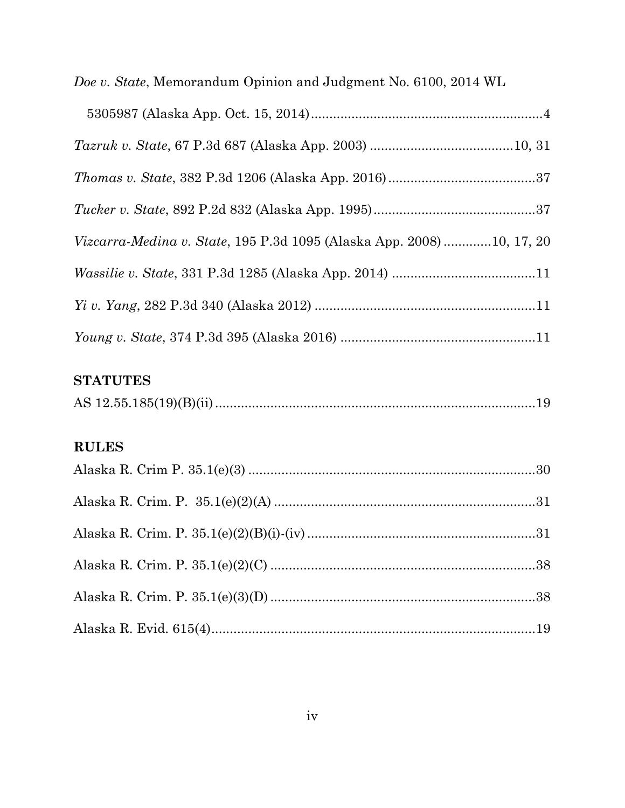| Doe v. State, Memorandum Opinion and Judgment No. 6100, 2014 WL      |  |
|----------------------------------------------------------------------|--|
|                                                                      |  |
|                                                                      |  |
|                                                                      |  |
|                                                                      |  |
| Vizcarra-Medina v. State, 195 P.3d 1095 (Alaska App. 2008)10, 17, 20 |  |
|                                                                      |  |
|                                                                      |  |
|                                                                      |  |

## **STATUTES**

|--|

## **RULES**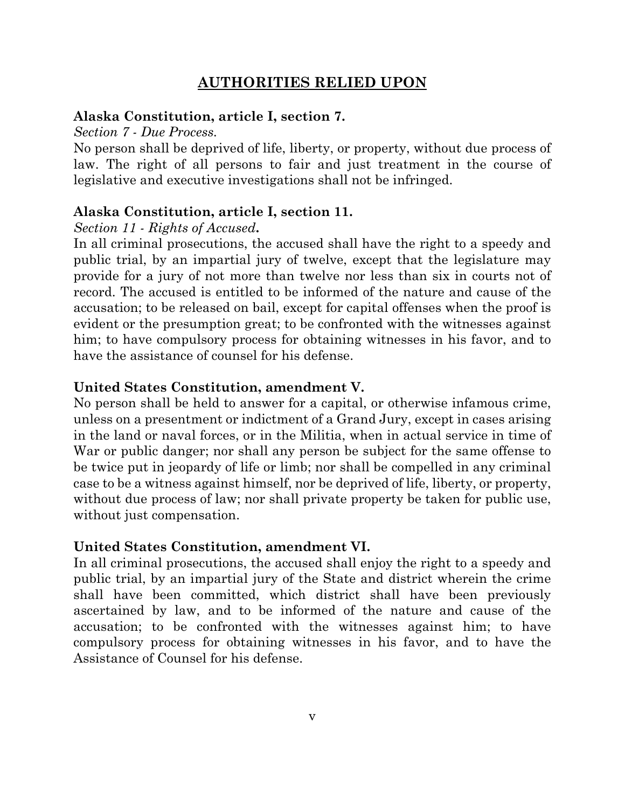## **AUTHORITIES RELIED UPON**

### **Alaska Constitution, article I, section 7.**

#### *Section 7 - Due Process.*

No person shall be deprived of life, liberty, or property, without due process of law. The right of all persons to fair and just treatment in the course of legislative and executive investigations shall not be infringed.

### **Alaska Constitution, article I, section 11.**

#### *Section 11 - Rights of Accused***.**

In all criminal prosecutions, the accused shall have the right to a speedy and public trial, by an impartial jury of twelve, except that the legislature may provide for a jury of not more than twelve nor less than six in courts not of record. The accused is entitled to be informed of the nature and cause of the accusation; to be released on bail, except for capital offenses when the proof is evident or the presumption great; to be confronted with the witnesses against him; to have compulsory process for obtaining witnesses in his favor, and to have the assistance of counsel for his defense.

## **United States Constitution, amendment V.**

No person shall be held to answer for a capital, or otherwise infamous crime, unless on a presentment or indictment of a Grand Jury, except in cases arising in the land or naval forces, or in the Militia, when in actual service in time of War or public danger; nor shall any person be subject for the same offense to be twice put in jeopardy of life or limb; nor shall be compelled in any criminal case to be a witness against himself, nor be deprived of life, liberty, or property, without due process of law; nor shall private property be taken for public use, without just compensation.

### **United States Constitution, amendment VI.**

In all criminal prosecutions, the accused shall enjoy the right to a speedy and public trial, by an impartial jury of the State and district wherein the crime shall have been committed, which district shall have been previously ascertained by law, and to be informed of the nature and cause of the accusation; to be confronted with the witnesses against him; to have compulsory process for obtaining witnesses in his favor, and to have the Assistance of Counsel for his defense.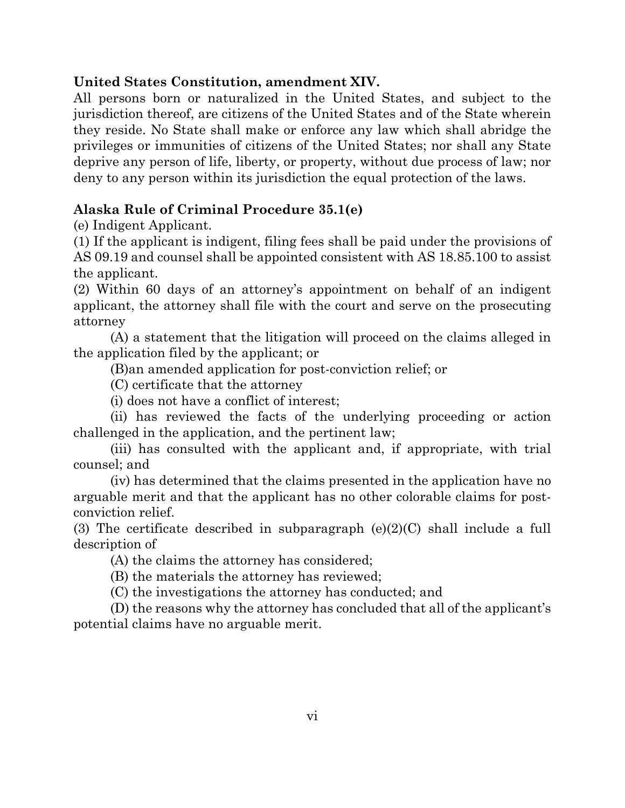## **United States Constitution, amendment XIV.**

All persons born or naturalized in the United States, and subject to the jurisdiction thereof, are citizens of the United States and of the State wherein they reside. No State shall make or enforce any law which shall abridge the privileges or immunities of citizens of the United States; nor shall any State deprive any person of life, liberty, or property, without due process of law; nor deny to any person within its jurisdiction the equal protection of the laws.

## **Alaska Rule of Criminal Procedure 35.1(e)**

(e) Indigent Applicant.

(1) If the applicant is indigent, filing fees shall be paid under the provisions of AS 09.19 and counsel shall be appointed consistent with AS 18.85.100 to assist the applicant.

(2) Within 60 days of an attorney's appointment on behalf of an indigent applicant, the attorney shall file with the court and serve on the prosecuting attorney

(A) a statement that the litigation will proceed on the claims alleged in the application filed by the applicant; or

(B)an amended application for post-conviction relief; or

(C) certificate that the attorney

(i) does not have a conflict of interest;

(ii) has reviewed the facts of the underlying proceeding or action challenged in the application, and the pertinent law;

(iii) has consulted with the applicant and, if appropriate, with trial counsel; and

(iv) has determined that the claims presented in the application have no arguable merit and that the applicant has no other colorable claims for postconviction relief.

(3) The certificate described in subparagraph (e)(2)(C) shall include a full description of

(A) the claims the attorney has considered;

(B) the materials the attorney has reviewed;

(C) the investigations the attorney has conducted; and

(D) the reasons why the attorney has concluded that all of the applicant's potential claims have no arguable merit.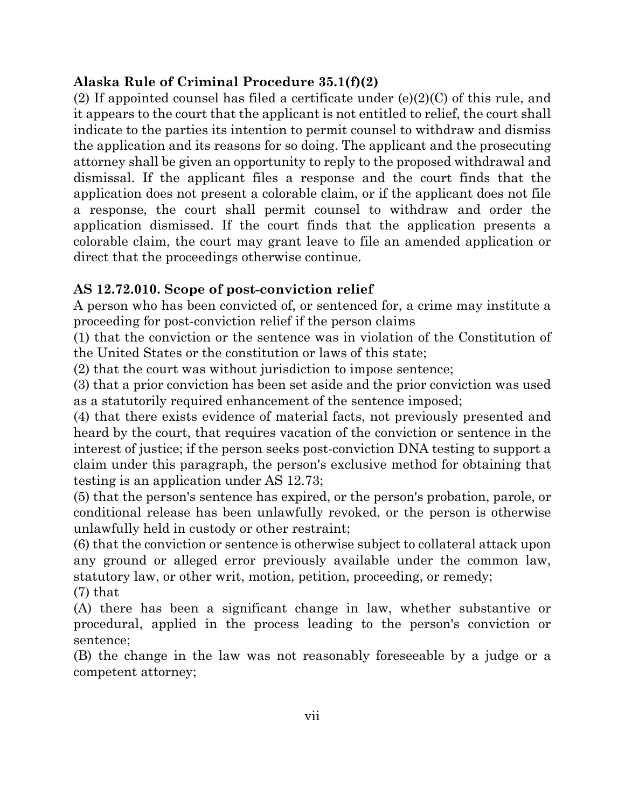## **Alaska Rule of Criminal Procedure 35.1(f)(2)**

(2) If appointed counsel has filed a certificate under  $(e)(2)(C)$  of this rule, and it appears to the court that the applicant is not entitled to relief, the court shall indicate to the parties its intention to permit counsel to withdraw and dismiss the application and its reasons for so doing. The applicant and the prosecuting attorney shall be given an opportunity to reply to the proposed withdrawal and dismissal. If the applicant files a response and the court finds that the application does not present a colorable claim, or if the applicant does not file a response, the court shall permit counsel to withdraw and order the application dismissed. If the court finds that the application presents a colorable claim, the court may grant leave to file an amended application or direct that the proceedings otherwise continue.

## **AS 12.72.010. Scope of post-conviction relief**

A person who has been convicted of, or sentenced for, a crime may institute a proceeding for post-conviction relief if the person claims

(1) that the conviction or the sentence was in violation of the Constitution of the United States or the constitution or laws of this state;

(2) that the court was without jurisdiction to impose sentence;

(3) that a prior conviction has been set aside and the prior conviction was used as a statutorily required enhancement of the sentence imposed;

(4) that there exists evidence of material facts, not previously presented and heard by the court, that requires vacation of the conviction or sentence in the interest of justice; if the person seeks post-conviction DNA testing to support a claim under this paragraph, the person's exclusive method for obtaining that testing is an application under AS 12.73;

(5) that the person's sentence has expired, or the person's probation, parole, or conditional release has been unlawfully revoked, or the person is otherwise unlawfully held in custody or other restraint;

(6) that the conviction or sentence is otherwise subject to collateral attack upon any ground or alleged error previously available under the common law, statutory law, or other writ, motion, petition, proceeding, or remedy; (7) that

(A) there has been a significant change in law, whether substantive or procedural, applied in the process leading to the person's conviction or sentence;

(B) the change in the law was not reasonably foreseeable by a judge or a competent attorney;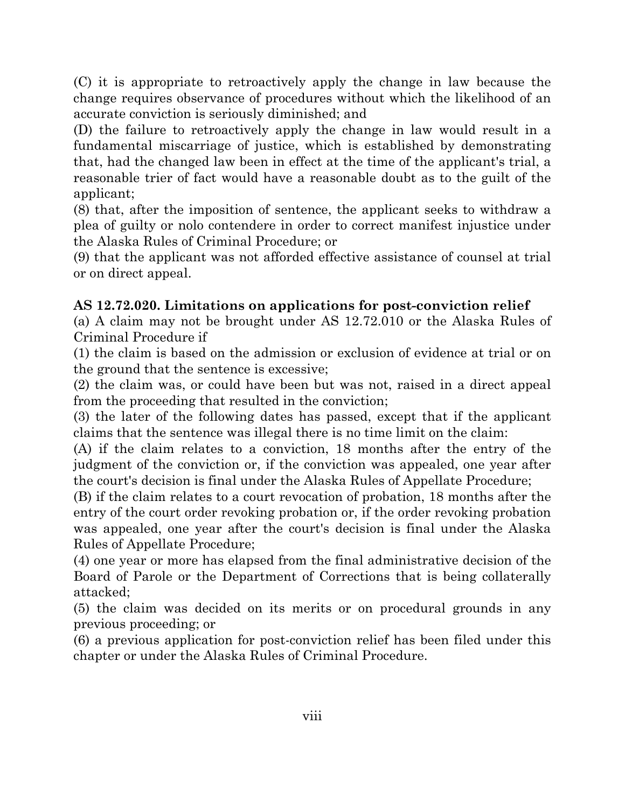(C) it is appropriate to retroactively apply the change in law because the change requires observance of procedures without which the likelihood of an accurate conviction is seriously diminished; and

(D) the failure to retroactively apply the change in law would result in a fundamental miscarriage of justice, which is established by demonstrating that, had the changed law been in effect at the time of the applicant's trial, a reasonable trier of fact would have a reasonable doubt as to the guilt of the applicant;

(8) that, after the imposition of sentence, the applicant seeks to withdraw a plea of guilty or nolo contendere in order to correct manifest injustice under the Alaska Rules of Criminal Procedure; or

(9) that the applicant was not afforded effective assistance of counsel at trial or on direct appeal.

## **AS 12.72.020. Limitations on applications for post-conviction relief**

(a) A claim may not be brought under AS 12.72.010 or the Alaska Rules of Criminal Procedure if

(1) the claim is based on the admission or exclusion of evidence at trial or on the ground that the sentence is excessive;

(2) the claim was, or could have been but was not, raised in a direct appeal from the proceeding that resulted in the conviction;

(3) the later of the following dates has passed, except that if the applicant claims that the sentence was illegal there is no time limit on the claim:

(A) if the claim relates to a conviction, 18 months after the entry of the judgment of the conviction or, if the conviction was appealed, one year after the court's decision is final under the Alaska Rules of Appellate Procedure;

(B) if the claim relates to a court revocation of probation, 18 months after the entry of the court order revoking probation or, if the order revoking probation was appealed, one year after the court's decision is final under the Alaska Rules of Appellate Procedure;

(4) one year or more has elapsed from the final administrative decision of the Board of Parole or the Department of Corrections that is being collaterally attacked;

(5) the claim was decided on its merits or on procedural grounds in any previous proceeding; or

(6) a previous application for post-conviction relief has been filed under this chapter or under the Alaska Rules of Criminal Procedure.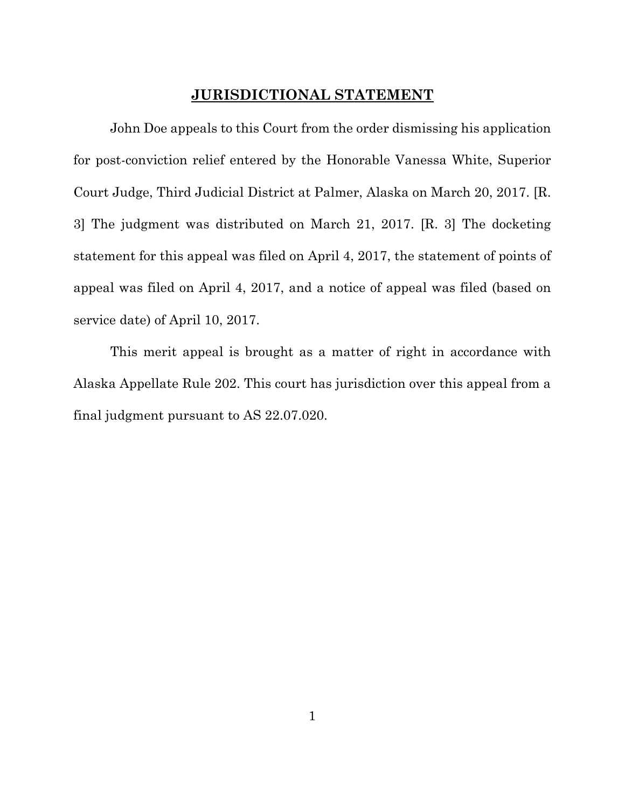### **JURISDICTIONAL STATEMENT**

John Doe appeals to this Court from the order dismissing his application for post-conviction relief entered by the Honorable Vanessa White, Superior Court Judge, Third Judicial District at Palmer, Alaska on March 20, 2017. [R. 3] The judgment was distributed on March 21, 2017. [R. 3] The docketing statement for this appeal was filed on April 4, 2017, the statement of points of appeal was filed on April 4, 2017, and a notice of appeal was filed (based on service date) of April 10, 2017.

This merit appeal is brought as a matter of right in accordance with Alaska Appellate Rule 202. This court has jurisdiction over this appeal from a final judgment pursuant to AS 22.07.020.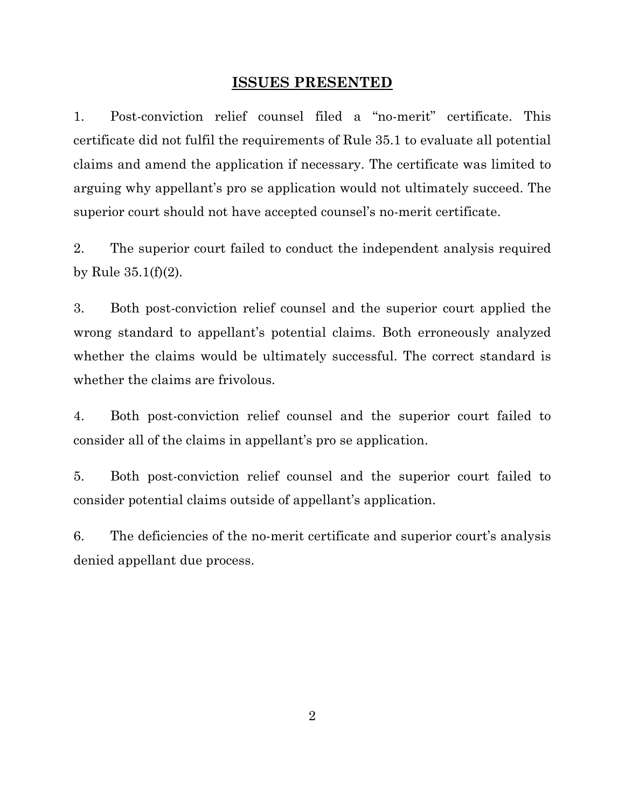#### **ISSUES PRESENTED**

1. Post-conviction relief counsel filed a "no-merit" certificate. This certificate did not fulfil the requirements of Rule 35.1 to evaluate all potential claims and amend the application if necessary. The certificate was limited to arguing why appellant's pro se application would not ultimately succeed. The superior court should not have accepted counsel's no-merit certificate.

2. The superior court failed to conduct the independent analysis required by Rule 35.1(f)(2).

3. Both post-conviction relief counsel and the superior court applied the wrong standard to appellant's potential claims. Both erroneously analyzed whether the claims would be ultimately successful. The correct standard is whether the claims are frivolous.

4. Both post-conviction relief counsel and the superior court failed to consider all of the claims in appellant's pro se application.

5. Both post-conviction relief counsel and the superior court failed to consider potential claims outside of appellant's application.

6. The deficiencies of the no-merit certificate and superior court's analysis denied appellant due process.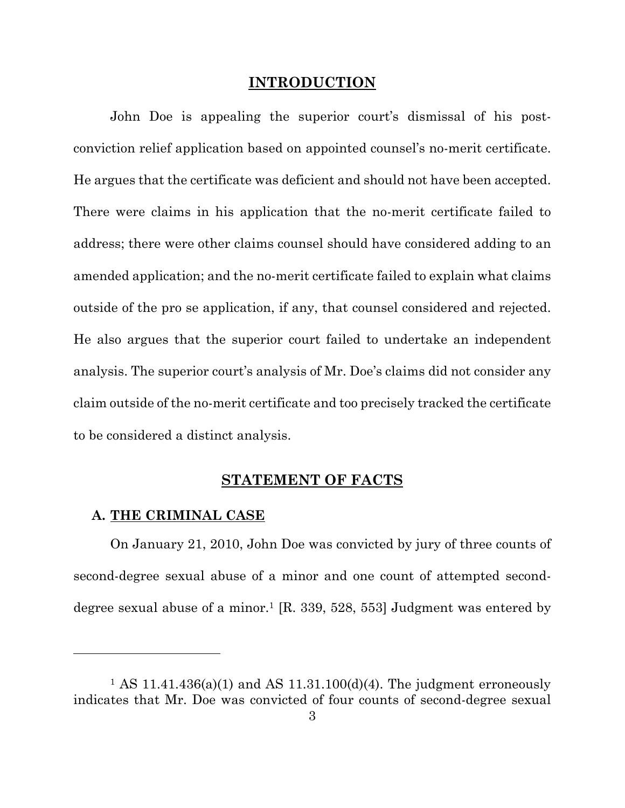#### **INTRODUCTION**

John Doe is appealing the superior court's dismissal of his postconviction relief application based on appointed counsel's no-merit certificate. He argues that the certificate was deficient and should not have been accepted. There were claims in his application that the no-merit certificate failed to address; there were other claims counsel should have considered adding to an amended application; and the no-merit certificate failed to explain what claims outside of the pro se application, if any, that counsel considered and rejected. He also argues that the superior court failed to undertake an independent analysis. The superior court's analysis of Mr. Doe's claims did not consider any claim outside of the no-merit certificate and too precisely tracked the certificate to be considered a distinct analysis.

#### **STATEMENT OF FACTS**

#### **A. THE CRIMINAL CASE**

l

On January 21, 2010, John Doe was convicted by jury of three counts of second-degree sexual abuse of a minor and one count of attempted seconddegree sexual abuse of a minor.<sup>1</sup> [R. 339, 528, 553] Judgment was entered by

 $1$  AS 11.41.436(a)(1) and AS 11.31.100(d)(4). The judgment erroneously indicates that Mr. Doe was convicted of four counts of second-degree sexual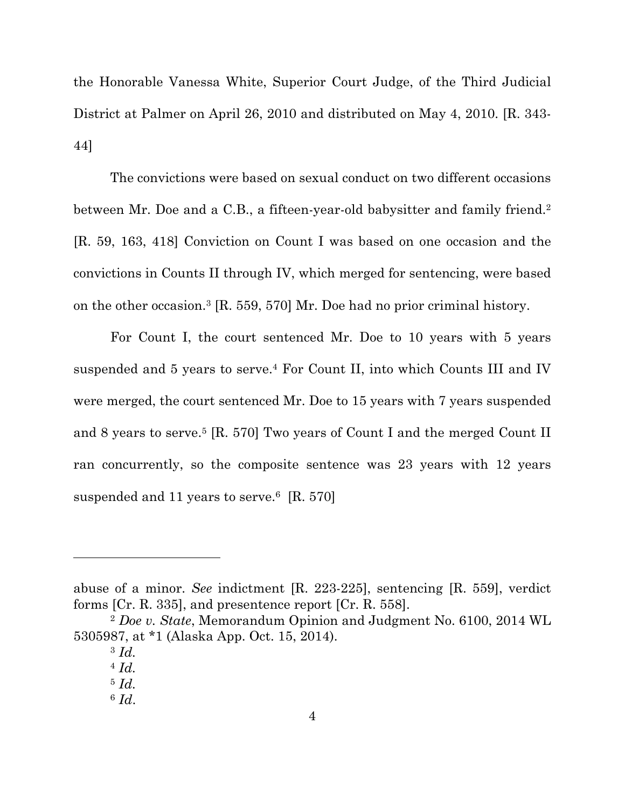the Honorable Vanessa White, Superior Court Judge, of the Third Judicial District at Palmer on April 26, 2010 and distributed on May 4, 2010. [R. 343- 44]

The convictions were based on sexual conduct on two different occasions between Mr. Doe and a C.B., a fifteen-year-old babysitter and family friend.<sup>2</sup> [R. 59, 163, 418] Conviction on Count I was based on one occasion and the convictions in Counts II through IV, which merged for sentencing, were based on the other occasion.3 [R. 559, 570] Mr. Doe had no prior criminal history.

For Count I, the court sentenced Mr. Doe to 10 years with 5 years suspended and 5 years to serve.4 For Count II, into which Counts III and IV were merged, the court sentenced Mr. Doe to 15 years with 7 years suspended and 8 years to serve.<sup>5</sup> [R. 570] Two years of Count I and the merged Count II ran concurrently, so the composite sentence was 23 years with 12 years suspended and 11 years to serve.<sup>6</sup> [R. 570]

abuse of a minor. *See* indictment [R. 223-225], sentencing [R. 559], verdict forms [Cr. R. 335], and presentence report [Cr. R. 558].

<sup>2</sup> *Doe v. State*, Memorandum Opinion and Judgment No. 6100, 2014 WL 5305987, at \*1 (Alaska App. Oct. 15, 2014).

<sup>3</sup> *Id.*

<sup>4</sup> *Id.*

<sup>5</sup> *Id.*

<sup>6</sup> *Id*.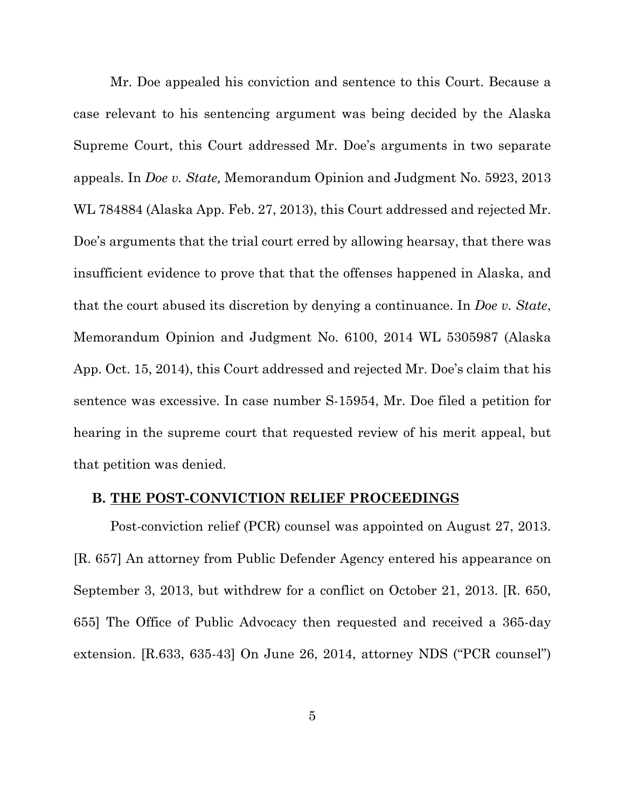Mr. Doe appealed his conviction and sentence to this Court. Because a case relevant to his sentencing argument was being decided by the Alaska Supreme Court, this Court addressed Mr. Doe's arguments in two separate appeals. In *Doe v. State,* Memorandum Opinion and Judgment No. 5923, 2013 WL 784884 (Alaska App. Feb. 27, 2013), this Court addressed and rejected Mr. Doe's arguments that the trial court erred by allowing hearsay, that there was insufficient evidence to prove that that the offenses happened in Alaska, and that the court abused its discretion by denying a continuance. In *Doe v. State*, Memorandum Opinion and Judgment No. 6100, 2014 WL 5305987 (Alaska App. Oct. 15, 2014), this Court addressed and rejected Mr. Doe's claim that his sentence was excessive. In case number S-15954, Mr. Doe filed a petition for hearing in the supreme court that requested review of his merit appeal, but that petition was denied.

#### **B. THE POST-CONVICTION RELIEF PROCEEDINGS**

Post-conviction relief (PCR) counsel was appointed on August 27, 2013. [R. 657] An attorney from Public Defender Agency entered his appearance on September 3, 2013, but withdrew for a conflict on October 21, 2013. [R. 650, 655] The Office of Public Advocacy then requested and received a 365-day extension. [R.633, 635-43] On June 26, 2014, attorney NDS ("PCR counsel")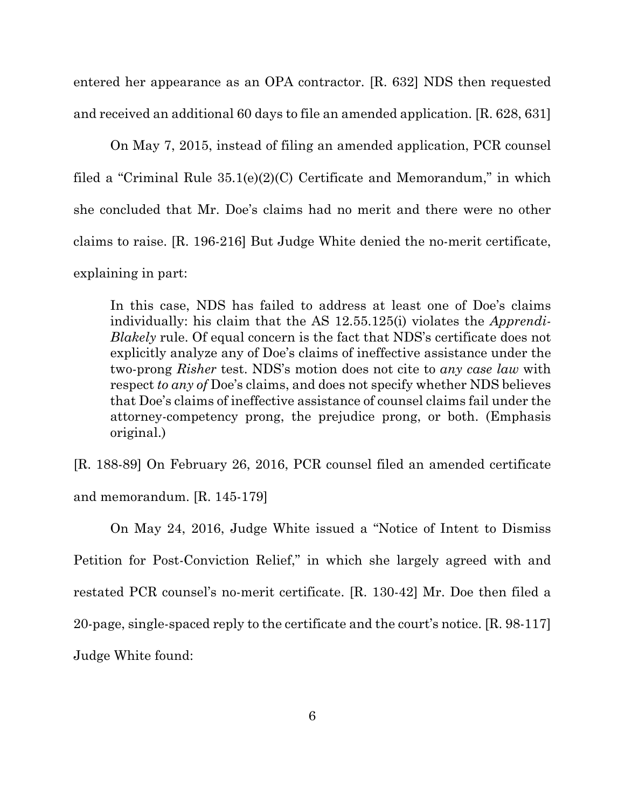entered her appearance as an OPA contractor. [R. 632] NDS then requested and received an additional 60 days to file an amended application. [R. 628, 631]

On May 7, 2015, instead of filing an amended application, PCR counsel filed a "Criminal Rule 35.1(e)(2)(C) Certificate and Memorandum," in which she concluded that Mr. Doe's claims had no merit and there were no other claims to raise. [R. 196-216] But Judge White denied the no-merit certificate, explaining in part:

In this case, NDS has failed to address at least one of Doe's claims individually: his claim that the AS 12.55.125(i) violates the *Apprendi-Blakely* rule. Of equal concern is the fact that NDS's certificate does not explicitly analyze any of Doe's claims of ineffective assistance under the two-prong *Risher* test. NDS's motion does not cite to *any case law* with respect *to any of* Doe's claims, and does not specify whether NDS believes that Doe's claims of ineffective assistance of counsel claims fail under the attorney-competency prong, the prejudice prong, or both. (Emphasis original.)

[R. 188-89] On February 26, 2016, PCR counsel filed an amended certificate and memorandum. [R. 145-179]

On May 24, 2016, Judge White issued a "Notice of Intent to Dismiss Petition for Post-Conviction Relief," in which she largely agreed with and restated PCR counsel's no-merit certificate. [R. 130-42] Mr. Doe then filed a 20-page, single-spaced reply to the certificate and the court's notice. [R. 98-117] Judge White found: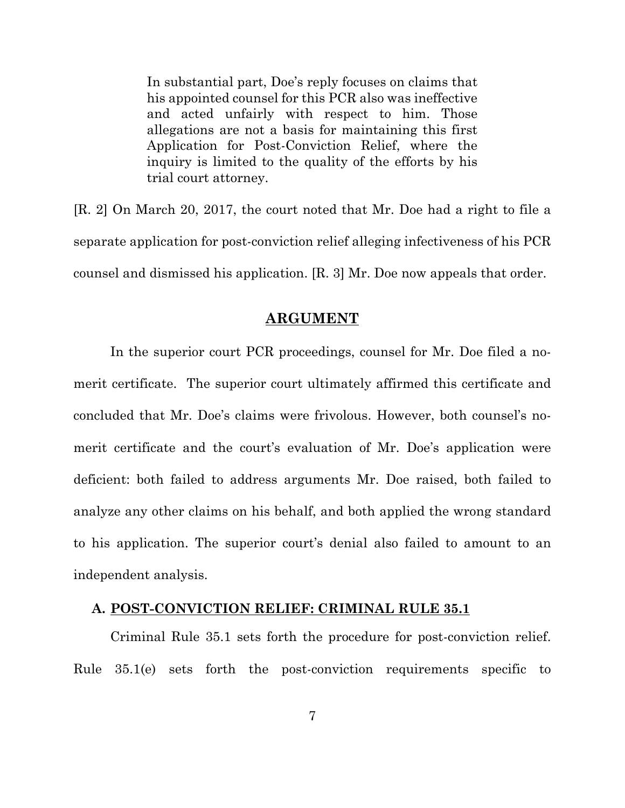In substantial part, Doe's reply focuses on claims that his appointed counsel for this PCR also was ineffective and acted unfairly with respect to him. Those allegations are not a basis for maintaining this first Application for Post-Conviction Relief, where the inquiry is limited to the quality of the efforts by his trial court attorney.

[R. 2] On March 20, 2017, the court noted that Mr. Doe had a right to file a separate application for post-conviction relief alleging infectiveness of his PCR counsel and dismissed his application. [R. 3] Mr. Doe now appeals that order.

#### **ARGUMENT**

In the superior court PCR proceedings, counsel for Mr. Doe filed a nomerit certificate. The superior court ultimately affirmed this certificate and concluded that Mr. Doe's claims were frivolous. However, both counsel's nomerit certificate and the court's evaluation of Mr. Doe's application were deficient: both failed to address arguments Mr. Doe raised, both failed to analyze any other claims on his behalf, and both applied the wrong standard to his application. The superior court's denial also failed to amount to an independent analysis.

#### **A. POST-CONVICTION RELIEF: CRIMINAL RULE 35.1**

Criminal Rule 35.1 sets forth the procedure for post-conviction relief. Rule 35.1(e) sets forth the post-conviction requirements specific to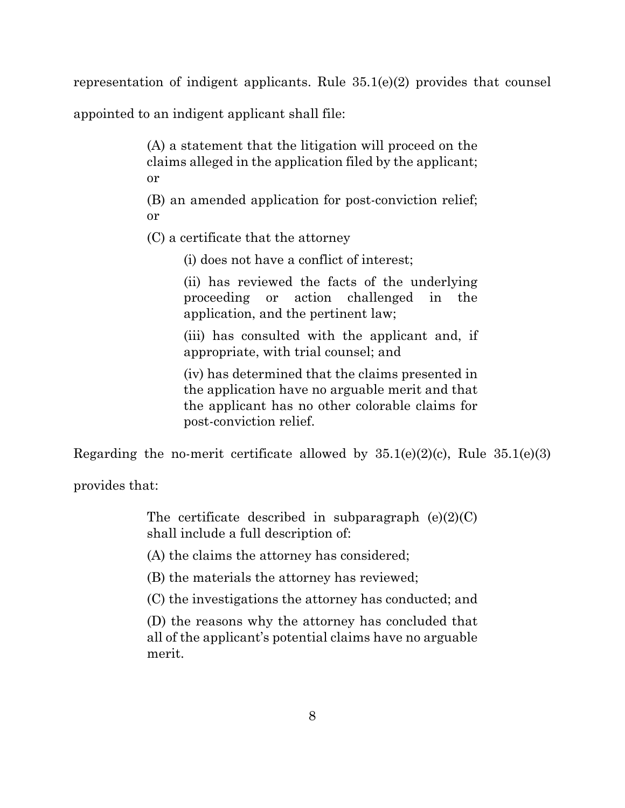representation of indigent applicants. Rule 35.1(e)(2) provides that counsel

appointed to an indigent applicant shall file:

(A) a statement that the litigation will proceed on the claims alleged in the application filed by the applicant; or

(B) an amended application for post-conviction relief; or

(C) a certificate that the attorney

(i) does not have a conflict of interest;

(ii) has reviewed the facts of the underlying proceeding or action challenged in the application, and the pertinent law;

(iii) has consulted with the applicant and, if appropriate, with trial counsel; and

(iv) has determined that the claims presented in the application have no arguable merit and that the applicant has no other colorable claims for post-conviction relief.

Regarding the no-merit certificate allowed by  $35.1(e)(2)(c)$ , Rule  $35.1(e)(3)$ 

provides that:

The certificate described in subparagraph  $(e)(2)(C)$ shall include a full description of:

(A) the claims the attorney has considered;

(B) the materials the attorney has reviewed;

(C) the investigations the attorney has conducted; and

(D) the reasons why the attorney has concluded that all of the applicant's potential claims have no arguable merit.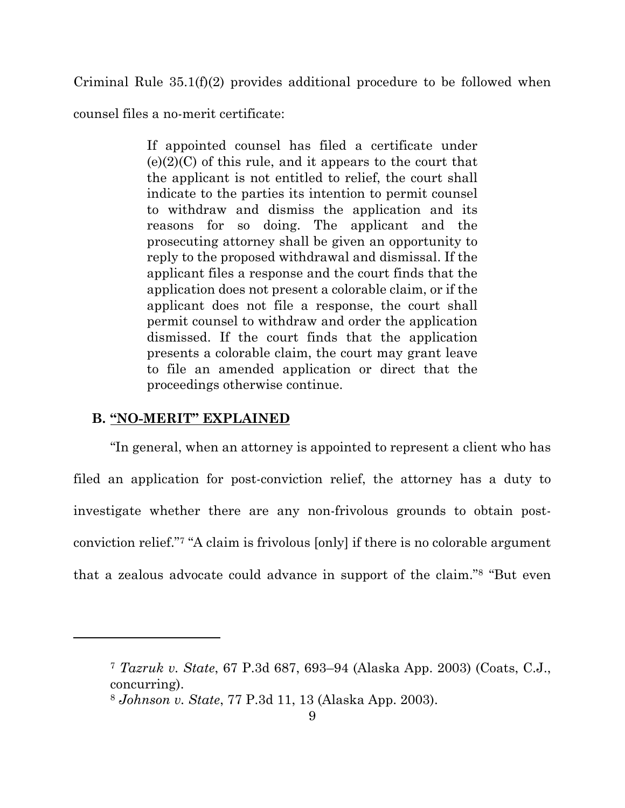Criminal Rule 35.1(f)(2) provides additional procedure to be followed when

counsel files a no-merit certificate:

If appointed counsel has filed a certificate under  $(e)(2)(C)$  of this rule, and it appears to the court that the applicant is not entitled to relief, the court shall indicate to the parties its intention to permit counsel to withdraw and dismiss the application and its reasons for so doing. The applicant and the prosecuting attorney shall be given an opportunity to reply to the proposed withdrawal and dismissal. If the applicant files a response and the court finds that the application does not present a colorable claim, or if the applicant does not file a response, the court shall permit counsel to withdraw and order the application dismissed. If the court finds that the application presents a colorable claim, the court may grant leave to file an amended application or direct that the proceedings otherwise continue.

### **B. "NO-MERIT" EXPLAINED**

"In general, when an attorney is appointed to represent a client who has filed an application for post-conviction relief, the attorney has a duty to investigate whether there are any non-frivolous grounds to obtain postconviction relief."7 "A claim is frivolous [only] if there is no colorable argument that a zealous advocate could advance in support of the claim."8 "But even

<sup>7</sup> *Tazruk v. State*, 67 P.3d 687, 693–94 (Alaska App. 2003) (Coats, C.J., concurring).

<sup>8</sup> *Johnson v. State*, 77 P.3d 11, 13 (Alaska App. 2003).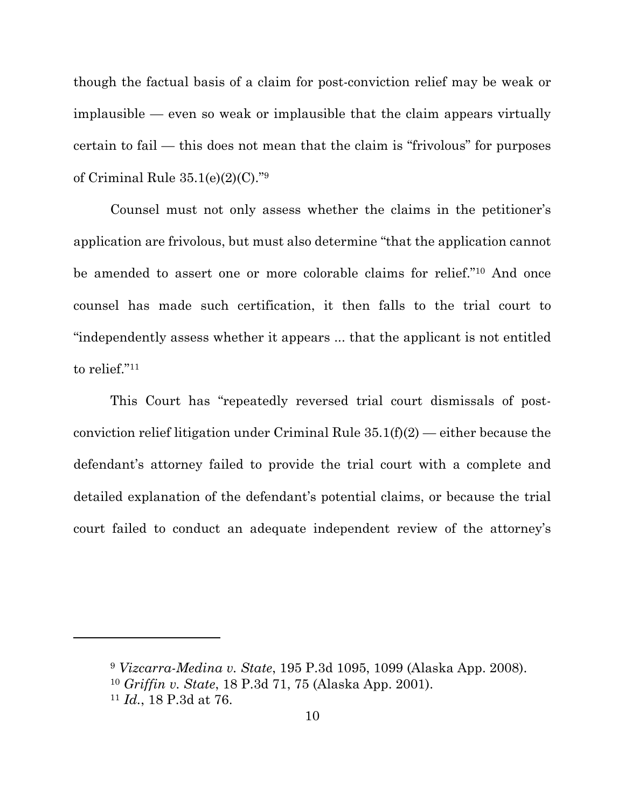though the factual basis of a claim for post-conviction relief may be weak or implausible — even so weak or implausible that the claim appears virtually certain to fail — this does not mean that the claim is "frivolous" for purposes of Criminal Rule 35.1(e)(2)(C)."9

Counsel must not only assess whether the claims in the petitioner's application are frivolous, but must also determine "that the application cannot be amended to assert one or more colorable claims for relief."10 And once counsel has made such certification, it then falls to the trial court to "independently assess whether it appears ... that the applicant is not entitled to relief."<sup>11</sup>

This Court has "repeatedly reversed trial court dismissals of postconviction relief litigation under Criminal Rule  $35.1(f)(2)$  — either because the defendant's attorney failed to provide the trial court with a complete and detailed explanation of the defendant's potential claims, or because the trial court failed to conduct an adequate independent review of the attorney's

<sup>9</sup> *Vizcarra-Medina v. State*, 195 P.3d 1095, 1099 (Alaska App. 2008).

<sup>10</sup> *Griffin v. State*, 18 P.3d 71, 75 (Alaska App. 2001).

<sup>11</sup> *Id.*, 18 P.3d at 76.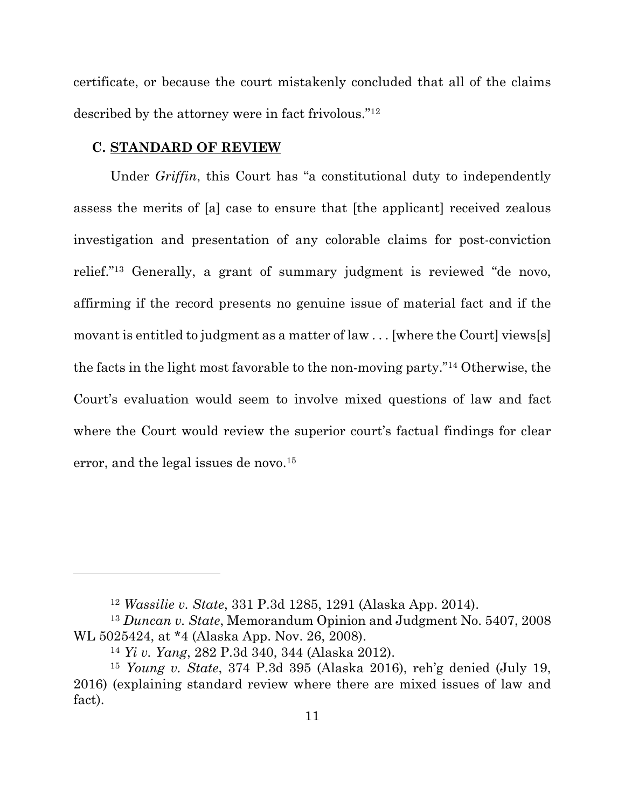certificate, or because the court mistakenly concluded that all of the claims described by the attorney were in fact frivolous."12

#### **C. STANDARD OF REVIEW**

Under *Griffin*, this Court has "a constitutional duty to independently assess the merits of [a] case to ensure that [the applicant] received zealous investigation and presentation of any colorable claims for post-conviction relief."13 Generally, a grant of summary judgment is reviewed "de novo, affirming if the record presents no genuine issue of material fact and if the movant is entitled to judgment as a matter of law . . . [where the Court] views[s] the facts in the light most favorable to the non-moving party."14 Otherwise, the Court's evaluation would seem to involve mixed questions of law and fact where the Court would review the superior court's factual findings for clear error, and the legal issues de novo.<sup>15</sup>

<sup>12</sup> *Wassilie v. State*, 331 P.3d 1285, 1291 (Alaska App. 2014).

<sup>13</sup> *Duncan v. State*, Memorandum Opinion and Judgment No. 5407, 2008 WL 5025424, at \*4 (Alaska App. Nov. 26, 2008).

<sup>14</sup> *Yi v. Yang*, 282 P.3d 340, 344 (Alaska 2012).

<sup>15</sup> *Young v. State*, 374 P.3d 395 (Alaska 2016), reh'g denied (July 19, 2016) (explaining standard review where there are mixed issues of law and fact).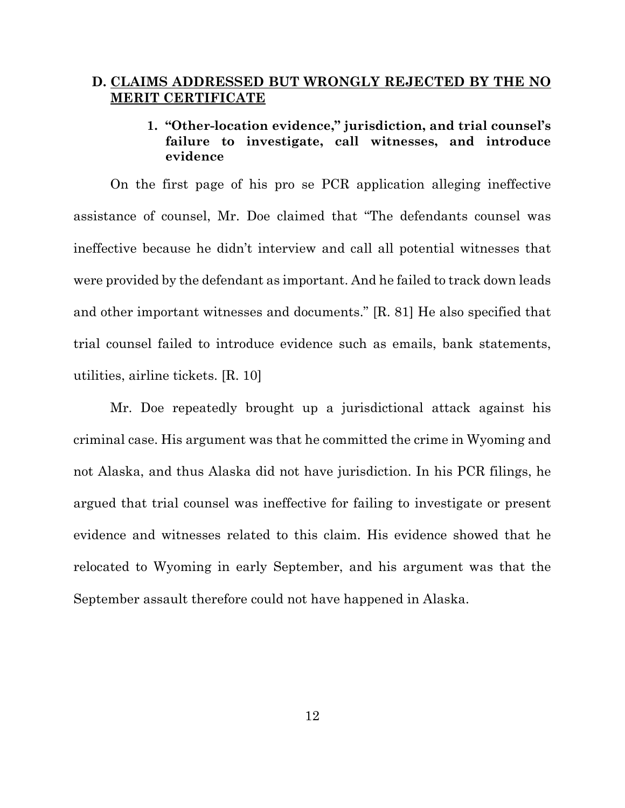### **D. CLAIMS ADDRESSED BUT WRONGLY REJECTED BY THE NO MERIT CERTIFICATE**

## **1. "Other-location evidence," jurisdiction, and trial counsel's failure to investigate, call witnesses, and introduce evidence**

On the first page of his pro se PCR application alleging ineffective assistance of counsel, Mr. Doe claimed that "The defendants counsel was ineffective because he didn't interview and call all potential witnesses that were provided by the defendant as important. And he failed to track down leads and other important witnesses and documents." [R. 81] He also specified that trial counsel failed to introduce evidence such as emails, bank statements, utilities, airline tickets. [R. 10]

Mr. Doe repeatedly brought up a jurisdictional attack against his criminal case. His argument was that he committed the crime in Wyoming and not Alaska, and thus Alaska did not have jurisdiction. In his PCR filings, he argued that trial counsel was ineffective for failing to investigate or present evidence and witnesses related to this claim. His evidence showed that he relocated to Wyoming in early September, and his argument was that the September assault therefore could not have happened in Alaska.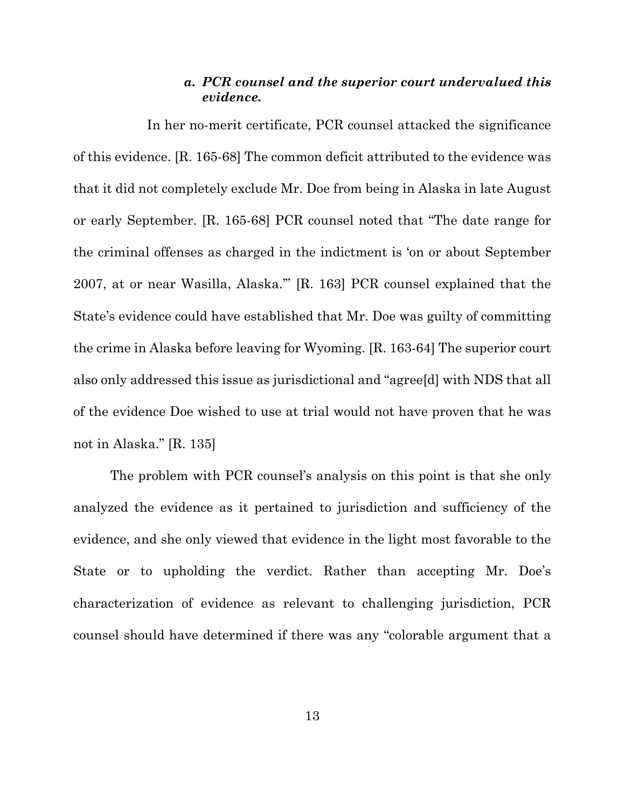### *a. PCR counsel and the superior court undervalued this evidence.*

In her no-merit certificate, PCR counsel attacked the significance of this evidence. [R. 165-68] The common deficit attributed to the evidence was that it did not completely exclude Mr. Doe from being in Alaska in late August or early September. [R. 165-68] PCR counsel noted that "The date range for the criminal offenses as charged in the indictment is 'on or about September 2007, at or near Wasilla, Alaska.'" [R. 163] PCR counsel explained that the State's evidence could have established that Mr. Doe was guilty of committing the crime in Alaska before leaving for Wyoming. [R. 163-64] The superior court also only addressed this issue as jurisdictional and "agree[d] with NDS that all of the evidence Doe wished to use at trial would not have proven that he was not in Alaska." [R. 135]

The problem with PCR counsel's analysis on this point is that she only analyzed the evidence as it pertained to jurisdiction and sufficiency of the evidence, and she only viewed that evidence in the light most favorable to the State or to upholding the verdict. Rather than accepting Mr. Doe's characterization of evidence as relevant to challenging jurisdiction, PCR counsel should have determined if there was any "colorable argument that a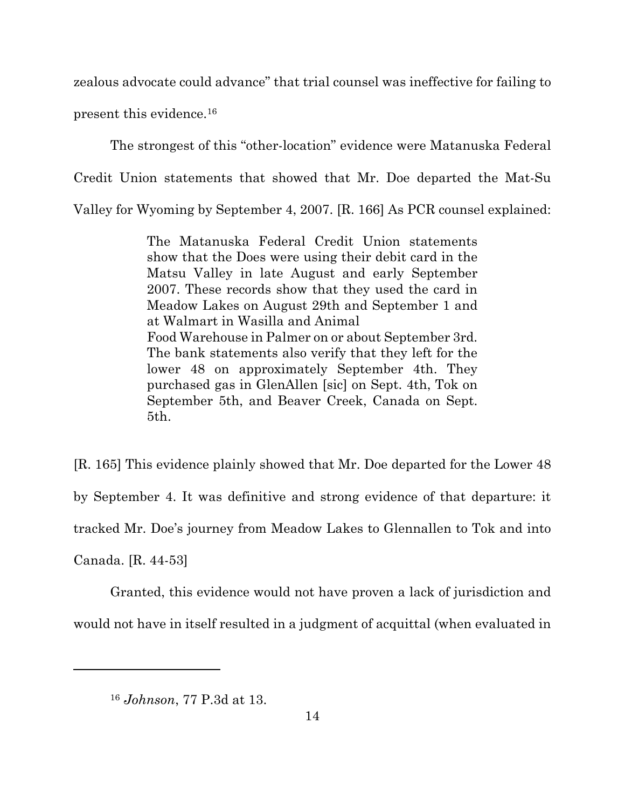zealous advocate could advance" that trial counsel was ineffective for failing to present this evidence.16

The strongest of this "other-location" evidence were Matanuska Federal Credit Union statements that showed that Mr. Doe departed the Mat-Su Valley for Wyoming by September 4, 2007. [R. 166] As PCR counsel explained:

> The Matanuska Federal Credit Union statements show that the Does were using their debit card in the Matsu Valley in late August and early September 2007. These records show that they used the card in Meadow Lakes on August 29th and September 1 and at Walmart in Wasilla and Animal Food Warehouse in Palmer on or about September 3rd. The bank statements also verify that they left for the lower 48 on approximately September 4th. They purchased gas in GlenAllen [sic] on Sept. 4th, Tok on September 5th, and Beaver Creek, Canada on Sept. 5th.

[R. 165] This evidence plainly showed that Mr. Doe departed for the Lower 48 by September 4. It was definitive and strong evidence of that departure: it tracked Mr. Doe's journey from Meadow Lakes to Glennallen to Tok and into

Canada. [R. 44-53]

Granted, this evidence would not have proven a lack of jurisdiction and would not have in itself resulted in a judgment of acquittal (when evaluated in

<sup>16</sup> *Johnson*, 77 P.3d at 13.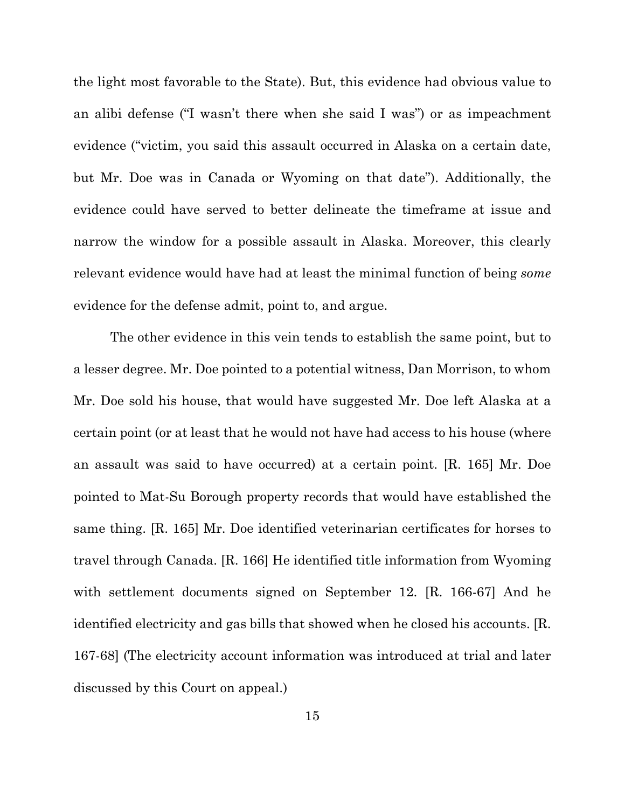the light most favorable to the State). But, this evidence had obvious value to an alibi defense ("I wasn't there when she said I was") or as impeachment evidence ("victim, you said this assault occurred in Alaska on a certain date, but Mr. Doe was in Canada or Wyoming on that date"). Additionally, the evidence could have served to better delineate the timeframe at issue and narrow the window for a possible assault in Alaska. Moreover, this clearly relevant evidence would have had at least the minimal function of being *some* evidence for the defense admit, point to, and argue.

The other evidence in this vein tends to establish the same point, but to a lesser degree. Mr. Doe pointed to a potential witness, Dan Morrison, to whom Mr. Doe sold his house, that would have suggested Mr. Doe left Alaska at a certain point (or at least that he would not have had access to his house (where an assault was said to have occurred) at a certain point. [R. 165] Mr. Doe pointed to Mat-Su Borough property records that would have established the same thing. [R. 165] Mr. Doe identified veterinarian certificates for horses to travel through Canada. [R. 166] He identified title information from Wyoming with settlement documents signed on September 12. [R. 166-67] And he identified electricity and gas bills that showed when he closed his accounts. [R. 167-68] (The electricity account information was introduced at trial and later discussed by this Court on appeal.)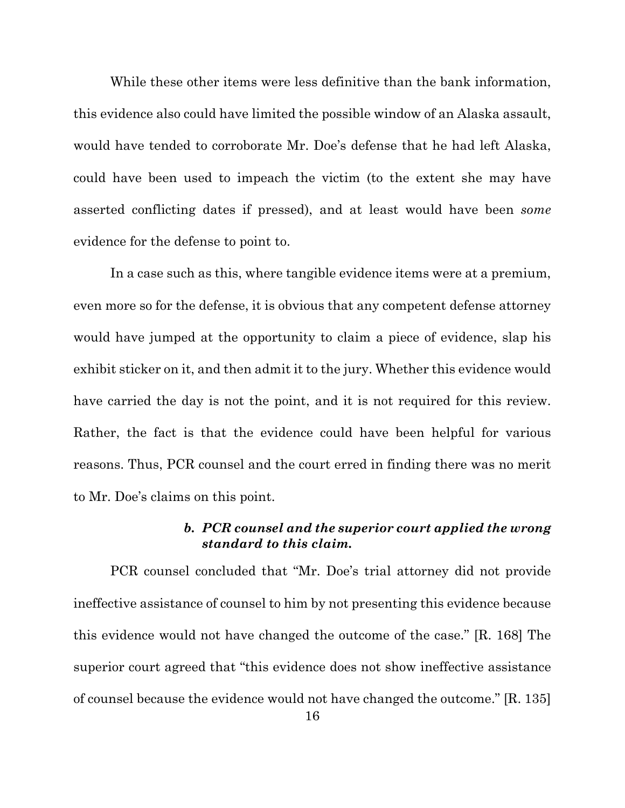While these other items were less definitive than the bank information, this evidence also could have limited the possible window of an Alaska assault, would have tended to corroborate Mr. Doe's defense that he had left Alaska, could have been used to impeach the victim (to the extent she may have asserted conflicting dates if pressed), and at least would have been *some* evidence for the defense to point to.

In a case such as this, where tangible evidence items were at a premium, even more so for the defense, it is obvious that any competent defense attorney would have jumped at the opportunity to claim a piece of evidence, slap his exhibit sticker on it, and then admit it to the jury. Whether this evidence would have carried the day is not the point, and it is not required for this review. Rather, the fact is that the evidence could have been helpful for various reasons. Thus, PCR counsel and the court erred in finding there was no merit to Mr. Doe's claims on this point.

## *b. PCR counsel and the superior court applied the wrong standard to this claim.*

PCR counsel concluded that "Mr. Doe's trial attorney did not provide ineffective assistance of counsel to him by not presenting this evidence because this evidence would not have changed the outcome of the case." [R. 168] The superior court agreed that "this evidence does not show ineffective assistance of counsel because the evidence would not have changed the outcome." [R. 135]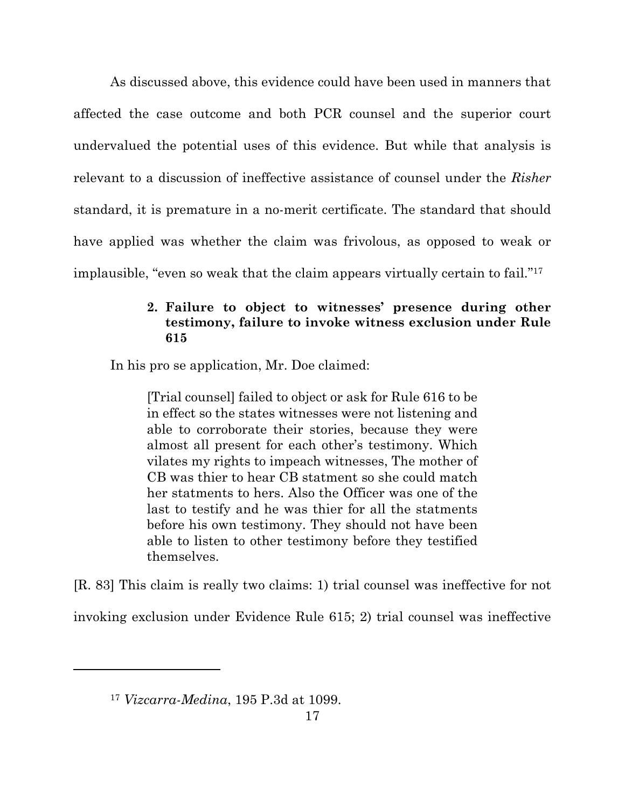As discussed above, this evidence could have been used in manners that affected the case outcome and both PCR counsel and the superior court undervalued the potential uses of this evidence. But while that analysis is relevant to a discussion of ineffective assistance of counsel under the *Risher* standard, it is premature in a no-merit certificate. The standard that should have applied was whether the claim was frivolous, as opposed to weak or implausible, "even so weak that the claim appears virtually certain to fail."17

## **2. Failure to object to witnesses' presence during other testimony, failure to invoke witness exclusion under Rule 615**

In his pro se application, Mr. Doe claimed:

[Trial counsel] failed to object or ask for Rule 616 to be in effect so the states witnesses were not listening and able to corroborate their stories, because they were almost all present for each other's testimony. Which vilates my rights to impeach witnesses, The mother of CB was thier to hear CB statment so she could match her statments to hers. Also the Officer was one of the last to testify and he was thier for all the statments before his own testimony. They should not have been able to listen to other testimony before they testified themselves.

[R. 83] This claim is really two claims: 1) trial counsel was ineffective for not

invoking exclusion under Evidence Rule 615; 2) trial counsel was ineffective

<sup>17</sup> *Vizcarra-Medina*, 195 P.3d at 1099.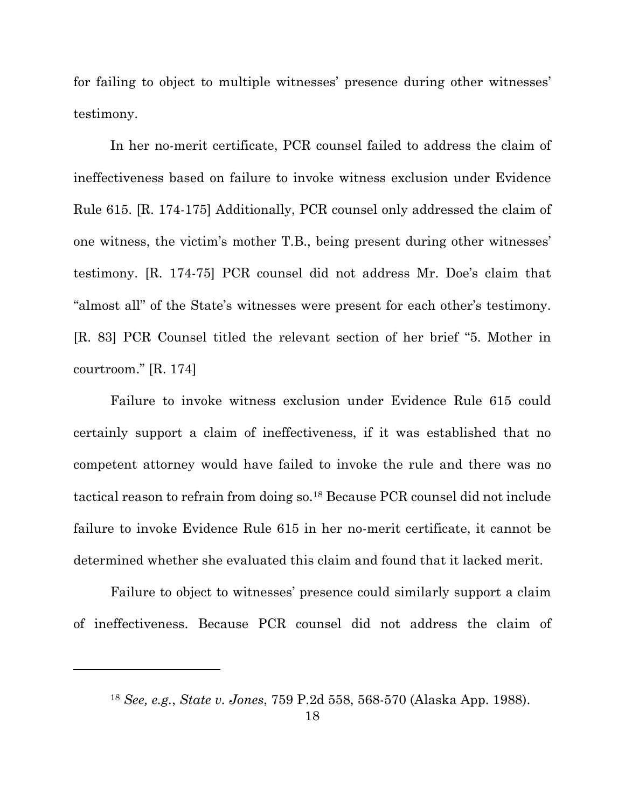for failing to object to multiple witnesses' presence during other witnesses' testimony.

In her no-merit certificate, PCR counsel failed to address the claim of ineffectiveness based on failure to invoke witness exclusion under Evidence Rule 615. [R. 174-175] Additionally, PCR counsel only addressed the claim of one witness, the victim's mother T.B., being present during other witnesses' testimony. [R. 174-75] PCR counsel did not address Mr. Doe's claim that "almost all" of the State's witnesses were present for each other's testimony. [R. 83] PCR Counsel titled the relevant section of her brief "5. Mother in courtroom." [R. 174]

Failure to invoke witness exclusion under Evidence Rule 615 could certainly support a claim of ineffectiveness, if it was established that no competent attorney would have failed to invoke the rule and there was no tactical reason to refrain from doing so.18 Because PCR counsel did not include failure to invoke Evidence Rule 615 in her no-merit certificate, it cannot be determined whether she evaluated this claim and found that it lacked merit.

Failure to object to witnesses' presence could similarly support a claim of ineffectiveness. Because PCR counsel did not address the claim of

<sup>18</sup> *See, e.g.*, *State v. Jones*, 759 P.2d 558, 568-570 (Alaska App. 1988).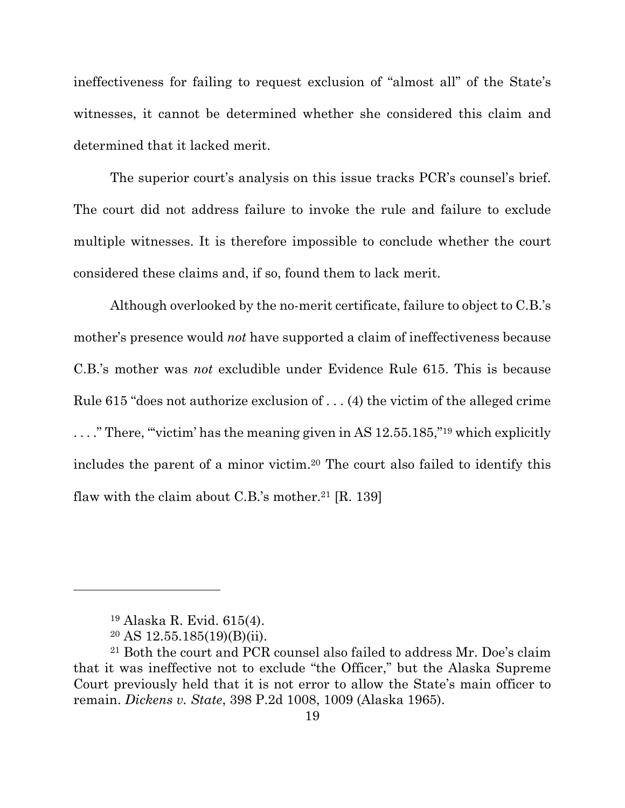ineffectiveness for failing to request exclusion of "almost all" of the State's witnesses, it cannot be determined whether she considered this claim and determined that it lacked merit.

The superior court's analysis on this issue tracks PCR's counsel's brief. The court did not address failure to invoke the rule and failure to exclude multiple witnesses. It is therefore impossible to conclude whether the court considered these claims and, if so, found them to lack merit.

Although overlooked by the no-merit certificate, failure to object to C.B.'s mother's presence would *not* have supported a claim of ineffectiveness because C.B.'s mother was *not* excludible under Evidence Rule 615. This is because Rule 615 "does not authorize exclusion of . . . (4) the victim of the alleged crime ...." There, "victim' has the meaning given in AS 12.55.185,"<sup>19</sup> which explicitly includes the parent of a minor victim.20 The court also failed to identify this flaw with the claim about C.B.'s mother. <sup>21</sup> [R. 139]

<sup>19</sup> Alaska R. Evid. 615(4).

 $20$  AS 12.55.185(19)(B)(ii).

<sup>21</sup> Both the court and PCR counsel also failed to address Mr. Doe's claim that it was ineffective not to exclude "the Officer," but the Alaska Supreme Court previously held that it is not error to allow the State's main officer to remain. *Dickens v. State*, 398 P.2d 1008, 1009 (Alaska 1965).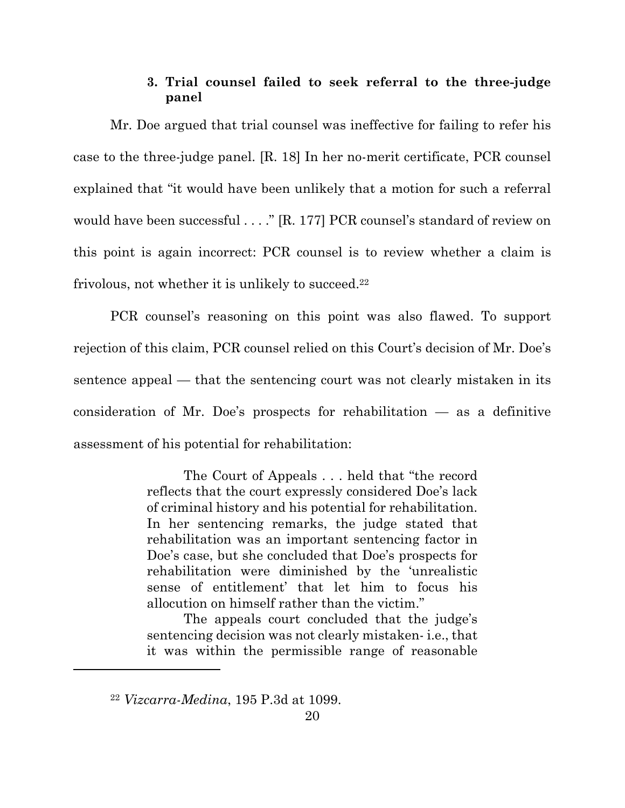## **3. Trial counsel failed to seek referral to the three-judge panel**

Mr. Doe argued that trial counsel was ineffective for failing to refer his case to the three-judge panel. [R. 18] In her no-merit certificate, PCR counsel explained that "it would have been unlikely that a motion for such a referral would have been successful . . . ." [R. 177] PCR counsel's standard of review on this point is again incorrect: PCR counsel is to review whether a claim is frivolous, not whether it is unlikely to succeed. $22$ 

PCR counsel's reasoning on this point was also flawed. To support rejection of this claim, PCR counsel relied on this Court's decision of Mr. Doe's sentence appeal — that the sentencing court was not clearly mistaken in its consideration of Mr. Doe's prospects for rehabilitation — as a definitive assessment of his potential for rehabilitation:

> The Court of Appeals . . . held that "the record reflects that the court expressly considered Doe's lack of criminal history and his potential for rehabilitation. In her sentencing remarks, the judge stated that rehabilitation was an important sentencing factor in Doe's case, but she concluded that Doe's prospects for rehabilitation were diminished by the 'unrealistic sense of entitlement' that let him to focus his allocution on himself rather than the victim."

> The appeals court concluded that the judge's sentencing decision was not clearly mistaken- i.e., that it was within the permissible range of reasonable

<sup>22</sup> *Vizcarra-Medina*, 195 P.3d at 1099.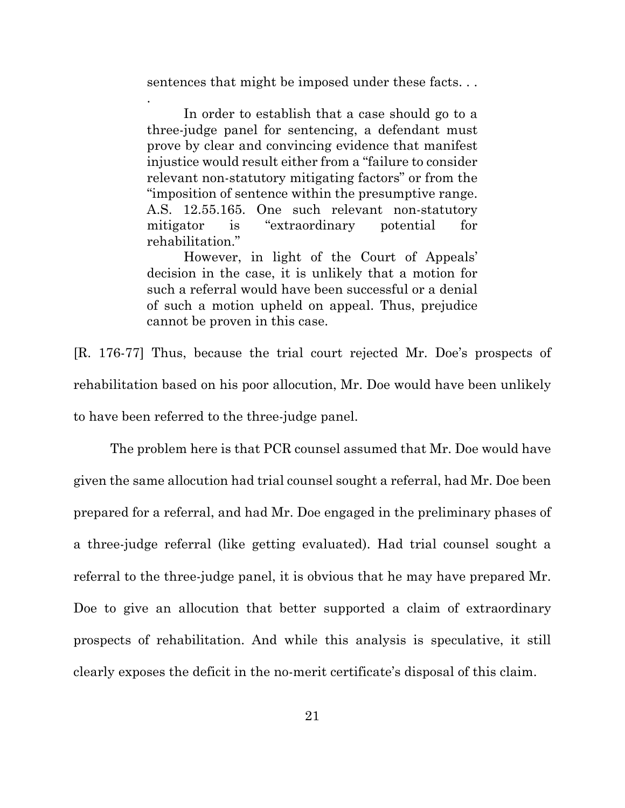sentences that might be imposed under these facts. . .

.

In order to establish that a case should go to a three-judge panel for sentencing, a defendant must prove by clear and convincing evidence that manifest injustice would result either from a "failure to consider relevant non-statutory mitigating factors" or from the "imposition of sentence within the presumptive range. A.S. 12.55.165. One such relevant non-statutory mitigator is "extraordinary potential for rehabilitation."

However, in light of the Court of Appeals' decision in the case, it is unlikely that a motion for such a referral would have been successful or a denial of such a motion upheld on appeal. Thus, prejudice cannot be proven in this case.

[R. 176-77] Thus, because the trial court rejected Mr. Doe's prospects of rehabilitation based on his poor allocution, Mr. Doe would have been unlikely to have been referred to the three-judge panel.

The problem here is that PCR counsel assumed that Mr. Doe would have given the same allocution had trial counsel sought a referral, had Mr. Doe been prepared for a referral, and had Mr. Doe engaged in the preliminary phases of a three-judge referral (like getting evaluated). Had trial counsel sought a referral to the three-judge panel, it is obvious that he may have prepared Mr. Doe to give an allocution that better supported a claim of extraordinary prospects of rehabilitation. And while this analysis is speculative, it still clearly exposes the deficit in the no-merit certificate's disposal of this claim.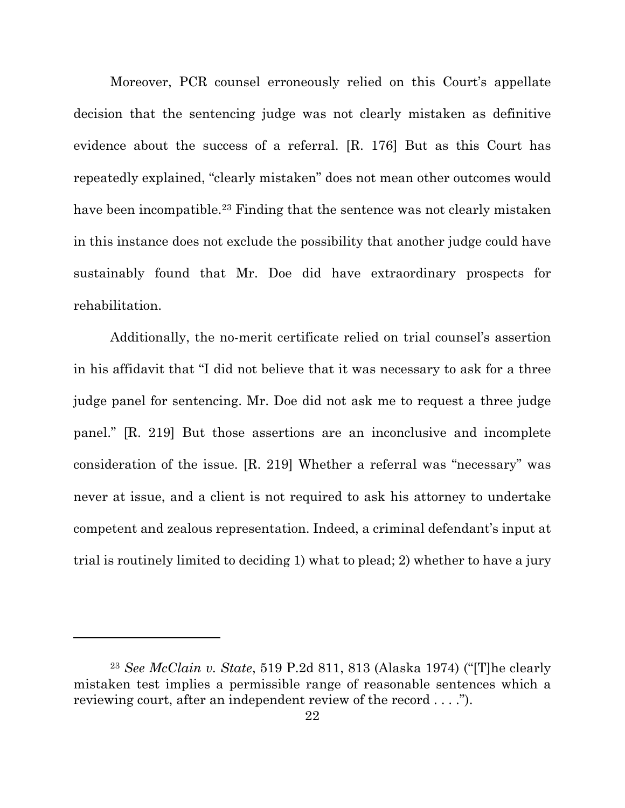Moreover, PCR counsel erroneously relied on this Court's appellate decision that the sentencing judge was not clearly mistaken as definitive evidence about the success of a referral. [R. 176] But as this Court has repeatedly explained, "clearly mistaken" does not mean other outcomes would have been incompatible.<sup>23</sup> Finding that the sentence was not clearly mistaken in this instance does not exclude the possibility that another judge could have sustainably found that Mr. Doe did have extraordinary prospects for rehabilitation.

Additionally, the no-merit certificate relied on trial counsel's assertion in his affidavit that "I did not believe that it was necessary to ask for a three judge panel for sentencing. Mr. Doe did not ask me to request a three judge panel." [R. 219] But those assertions are an inconclusive and incomplete consideration of the issue. [R. 219] Whether a referral was "necessary" was never at issue, and a client is not required to ask his attorney to undertake competent and zealous representation. Indeed, a criminal defendant's input at trial is routinely limited to deciding 1) what to plead; 2) whether to have a jury

<sup>23</sup> *See McClain v. State*, 519 P.2d 811, 813 (Alaska 1974) ("[T]he clearly mistaken test implies a permissible range of reasonable sentences which a reviewing court, after an independent review of the record . . . .").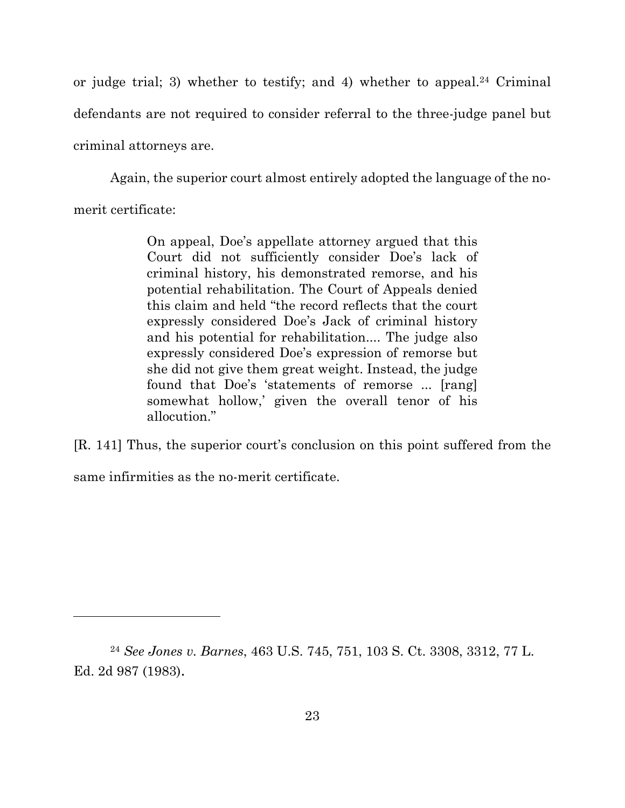or judge trial; 3) whether to testify; and 4) whether to appeal.<sup>24</sup> Criminal defendants are not required to consider referral to the three-judge panel but criminal attorneys are.

Again, the superior court almost entirely adopted the language of the no-

merit certificate:

On appeal, Doe's appellate attorney argued that this Court did not sufficiently consider Doe's lack of criminal history, his demonstrated remorse, and his potential rehabilitation. The Court of Appeals denied this claim and held "the record reflects that the court expressly considered Doe's Jack of criminal history and his potential for rehabilitation.... The judge also expressly considered Doe's expression of remorse but she did not give them great weight. Instead, the judge found that Doe's 'statements of remorse ... [rang] somewhat hollow,' given the overall tenor of his allocution."

[R. 141] Thus, the superior court's conclusion on this point suffered from the same infirmities as the no-merit certificate.

<sup>24</sup> *See Jones v. Barnes*, 463 U.S. 745, 751, 103 S. Ct. 3308, 3312, 77 L. Ed. 2d 987 (1983).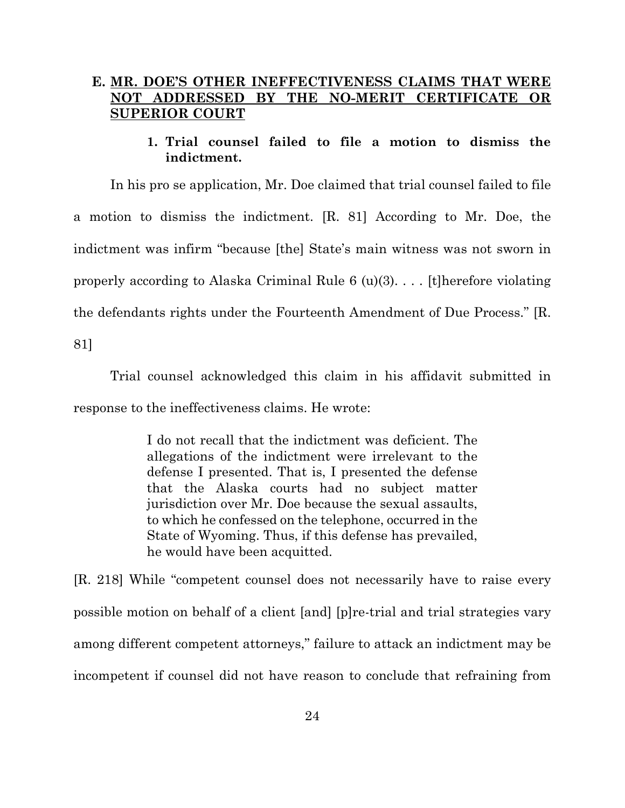## **E. MR. DOE'S OTHER INEFFECTIVENESS CLAIMS THAT WERE NOT ADDRESSED BY THE NO-MERIT CERTIFICATE OR SUPERIOR COURT**

### **1. Trial counsel failed to file a motion to dismiss the indictment.**

In his pro se application, Mr. Doe claimed that trial counsel failed to file a motion to dismiss the indictment. [R. 81] According to Mr. Doe, the indictment was infirm "because [the] State's main witness was not sworn in properly according to Alaska Criminal Rule  $6 \text{ (u)}(3)$ .... [t] herefore violating the defendants rights under the Fourteenth Amendment of Due Process." [R.

81]

Trial counsel acknowledged this claim in his affidavit submitted in response to the ineffectiveness claims. He wrote:

> I do not recall that the indictment was deficient. The allegations of the indictment were irrelevant to the defense I presented. That is, I presented the defense that the Alaska courts had no subject matter jurisdiction over Mr. Doe because the sexual assaults, to which he confessed on the telephone, occurred in the State of Wyoming. Thus, if this defense has prevailed, he would have been acquitted.

[R. 218] While "competent counsel does not necessarily have to raise every possible motion on behalf of a client [and] [p]re-trial and trial strategies vary among different competent attorneys," failure to attack an indictment may be incompetent if counsel did not have reason to conclude that refraining from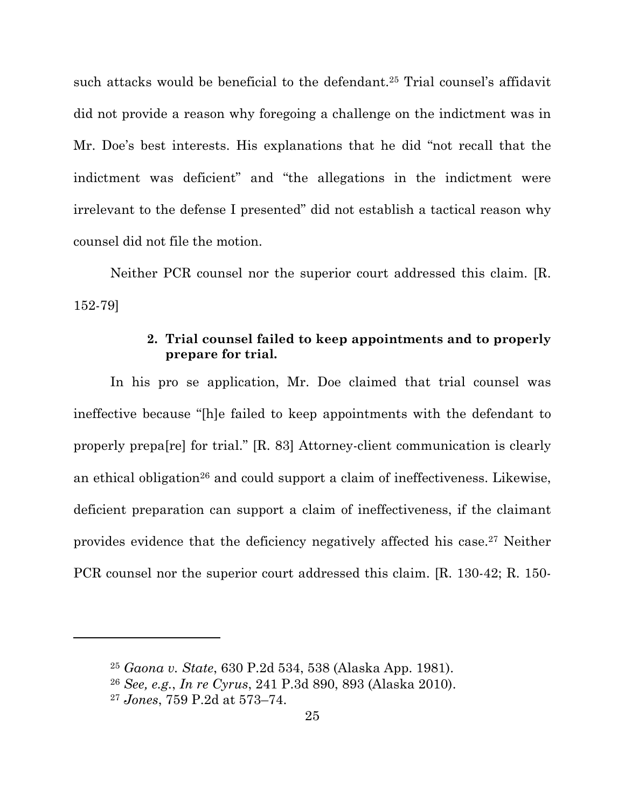such attacks would be beneficial to the defendant.25 Trial counsel's affidavit did not provide a reason why foregoing a challenge on the indictment was in Mr. Doe's best interests. His explanations that he did "not recall that the indictment was deficient" and "the allegations in the indictment were irrelevant to the defense I presented" did not establish a tactical reason why counsel did not file the motion.

Neither PCR counsel nor the superior court addressed this claim. [R. 152-79]

## **2. Trial counsel failed to keep appointments and to properly prepare for trial.**

In his pro se application, Mr. Doe claimed that trial counsel was ineffective because "[h]e failed to keep appointments with the defendant to properly prepa[re] for trial." [R. 83] Attorney-client communication is clearly an ethical obligation<sup>26</sup> and could support a claim of ineffectiveness. Likewise, deficient preparation can support a claim of ineffectiveness, if the claimant provides evidence that the deficiency negatively affected his case.27 Neither PCR counsel nor the superior court addressed this claim. [R. 130-42; R. 150-

<sup>25</sup> *Gaona v. State*, 630 P.2d 534, 538 (Alaska App. 1981).

<sup>26</sup> *See, e.g.*, *In re Cyrus*, 241 P.3d 890, 893 (Alaska 2010).

<sup>27</sup> *Jones*, 759 P.2d at 573–74.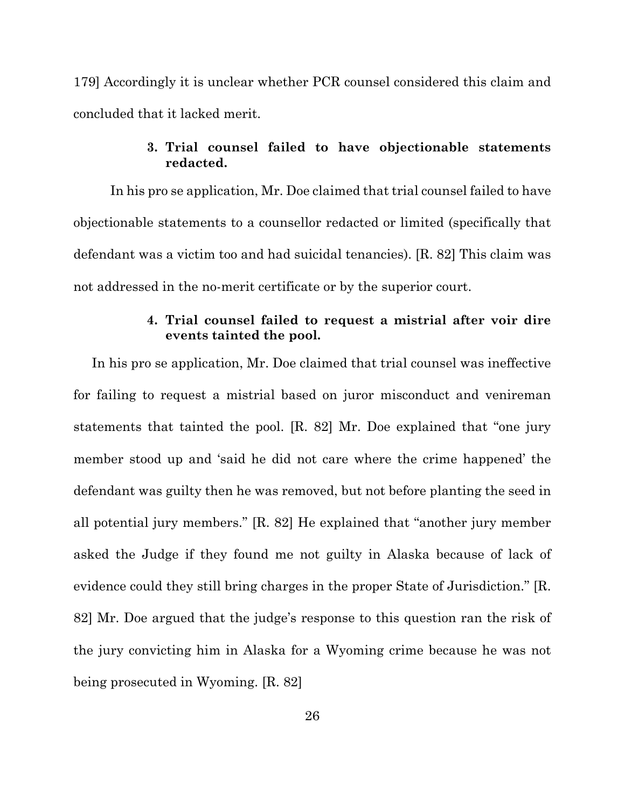179] Accordingly it is unclear whether PCR counsel considered this claim and concluded that it lacked merit.

## **3. Trial counsel failed to have objectionable statements redacted.**

In his pro se application, Mr. Doe claimed that trial counsel failed to have objectionable statements to a counsellor redacted or limited (specifically that defendant was a victim too and had suicidal tenancies). [R. 82] This claim was not addressed in the no-merit certificate or by the superior court.

### **4. Trial counsel failed to request a mistrial after voir dire events tainted the pool.**

In his pro se application, Mr. Doe claimed that trial counsel was ineffective for failing to request a mistrial based on juror misconduct and venireman statements that tainted the pool. [R. 82] Mr. Doe explained that "one jury member stood up and 'said he did not care where the crime happened' the defendant was guilty then he was removed, but not before planting the seed in all potential jury members." [R. 82] He explained that "another jury member asked the Judge if they found me not guilty in Alaska because of lack of evidence could they still bring charges in the proper State of Jurisdiction." [R. 82] Mr. Doe argued that the judge's response to this question ran the risk of the jury convicting him in Alaska for a Wyoming crime because he was not being prosecuted in Wyoming. [R. 82]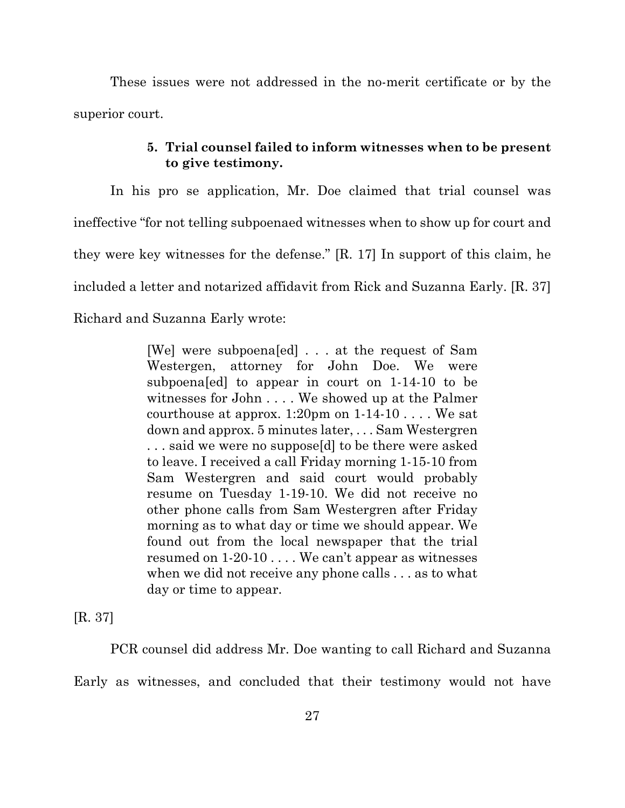These issues were not addressed in the no-merit certificate or by the superior court.

## **5. Trial counsel failed to inform witnesses when to be present to give testimony.**

In his pro se application, Mr. Doe claimed that trial counsel was ineffective "for not telling subpoenaed witnesses when to show up for court and they were key witnesses for the defense." [R. 17] In support of this claim, he included a letter and notarized affidavit from Rick and Suzanna Early. [R. 37] Richard and Suzanna Early wrote:

> [We] were subpoena[ed] . . . at the request of Sam Westergen, attorney for John Doe. We were subpoena[ed] to appear in court on 1-14-10 to be witnesses for John . . . . We showed up at the Palmer courthouse at approx.  $1:20$ pm on  $1-14-10$ .... We sat down and approx. 5 minutes later, . . . Sam Westergren . . . said we were no suppose[d] to be there were asked to leave. I received a call Friday morning 1-15-10 from Sam Westergren and said court would probably resume on Tuesday 1-19-10. We did not receive no other phone calls from Sam Westergren after Friday morning as to what day or time we should appear. We found out from the local newspaper that the trial resumed on 1-20-10 . . . . We can't appear as witnesses when we did not receive any phone calls . . . as to what day or time to appear.

[R. 37]

PCR counsel did address Mr. Doe wanting to call Richard and Suzanna Early as witnesses, and concluded that their testimony would not have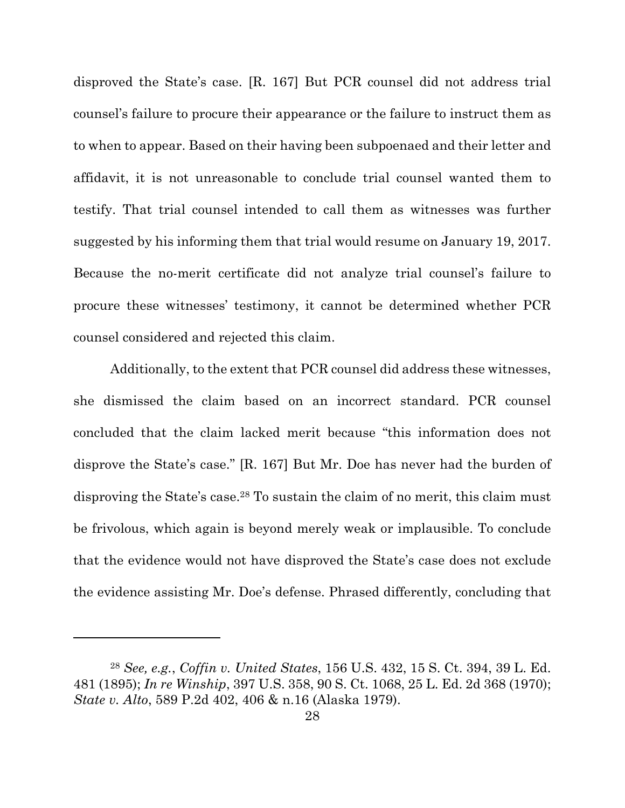disproved the State's case. [R. 167] But PCR counsel did not address trial counsel's failure to procure their appearance or the failure to instruct them as to when to appear. Based on their having been subpoenaed and their letter and affidavit, it is not unreasonable to conclude trial counsel wanted them to testify. That trial counsel intended to call them as witnesses was further suggested by his informing them that trial would resume on January 19, 2017. Because the no-merit certificate did not analyze trial counsel's failure to procure these witnesses' testimony, it cannot be determined whether PCR counsel considered and rejected this claim.

Additionally, to the extent that PCR counsel did address these witnesses, she dismissed the claim based on an incorrect standard. PCR counsel concluded that the claim lacked merit because "this information does not disprove the State's case." [R. 167] But Mr. Doe has never had the burden of disproving the State's case.28 To sustain the claim of no merit, this claim must be frivolous, which again is beyond merely weak or implausible. To conclude that the evidence would not have disproved the State's case does not exclude the evidence assisting Mr. Doe's defense. Phrased differently, concluding that

<sup>28</sup> *See, e.g.*, *Coffin v. United States*, 156 U.S. 432, 15 S. Ct. 394, 39 L. Ed. 481 (1895); *In re Winship*, 397 U.S. 358, 90 S. Ct. 1068, 25 L. Ed. 2d 368 (1970); *State v. Alto*, 589 P.2d 402, 406 & n.16 (Alaska 1979).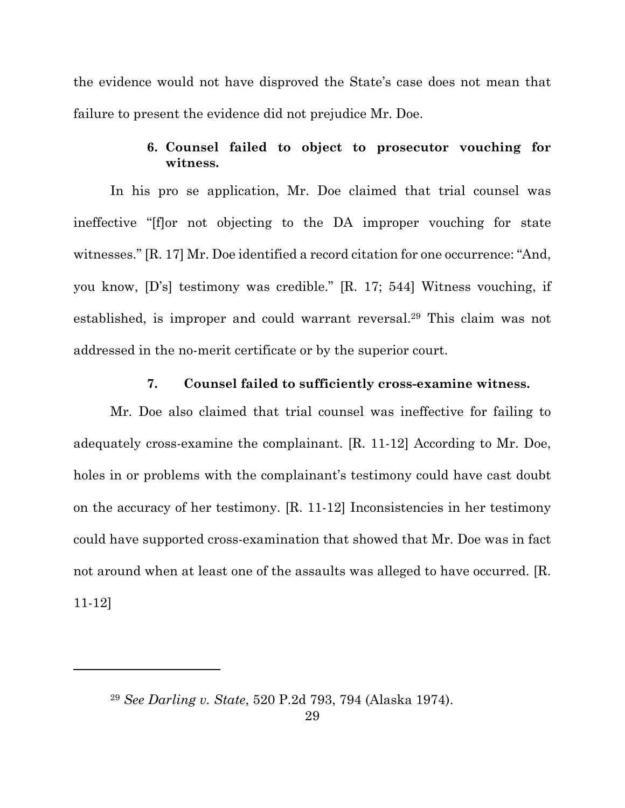the evidence would not have disproved the State's case does not mean that failure to present the evidence did not prejudice Mr. Doe.

## **6. Counsel failed to object to prosecutor vouching for witness.**

In his pro se application, Mr. Doe claimed that trial counsel was ineffective "[f]or not objecting to the DA improper vouching for state witnesses." [R. 17] Mr. Doe identified a record citation for one occurrence: "And, you know, [D's] testimony was credible." [R. 17; 544] Witness vouching, if established, is improper and could warrant reversal.29 This claim was not addressed in the no-merit certificate or by the superior court.

### **7. Counsel failed to sufficiently cross-examine witness.**

Mr. Doe also claimed that trial counsel was ineffective for failing to adequately cross-examine the complainant. [R. 11-12] According to Mr. Doe, holes in or problems with the complainant's testimony could have cast doubt on the accuracy of her testimony. [R. 11-12] Inconsistencies in her testimony could have supported cross-examination that showed that Mr. Doe was in fact not around when at least one of the assaults was alleged to have occurred. [R. 11-12]

<sup>29</sup> *See Darling v. State*, 520 P.2d 793, 794 (Alaska 1974).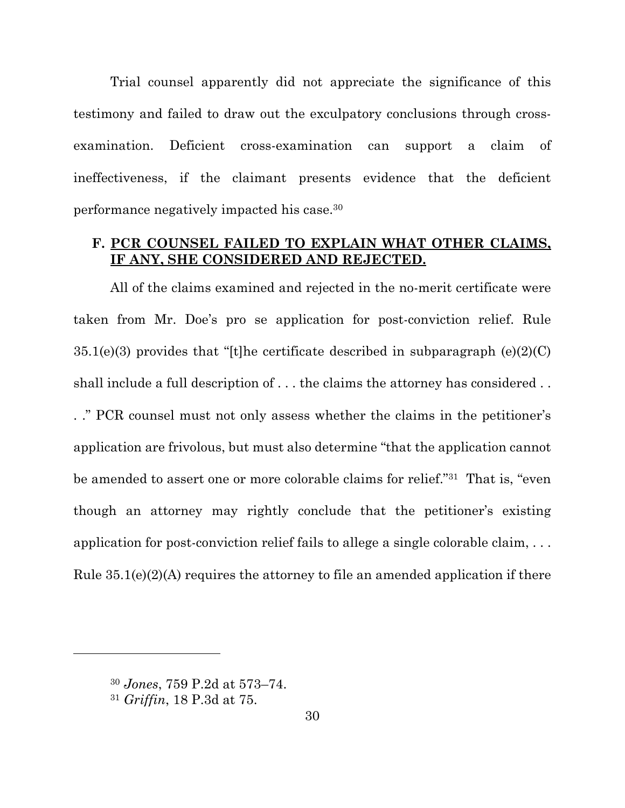Trial counsel apparently did not appreciate the significance of this testimony and failed to draw out the exculpatory conclusions through crossexamination. Deficient cross-examination can support a claim of ineffectiveness, if the claimant presents evidence that the deficient performance negatively impacted his case.30

## **F. PCR COUNSEL FAILED TO EXPLAIN WHAT OTHER CLAIMS, IF ANY, SHE CONSIDERED AND REJECTED.**

All of the claims examined and rejected in the no-merit certificate were taken from Mr. Doe's pro se application for post-conviction relief. Rule  $35.1(e)(3)$  provides that "[t]he certificate described in subparagraph  $(e)(2)(C)$ shall include a full description of . . . the claims the attorney has considered . . . ." PCR counsel must not only assess whether the claims in the petitioner's application are frivolous, but must also determine "that the application cannot be amended to assert one or more colorable claims for relief."31 That is, "even though an attorney may rightly conclude that the petitioner's existing application for post-conviction relief fails to allege a single colorable claim, . . . Rule  $35.1(e)(2)(A)$  requires the attorney to file an amended application if there

l

<sup>30</sup> *Jones*, 759 P.2d at 573–74.

<sup>31</sup> *Griffin*, 18 P.3d at 75.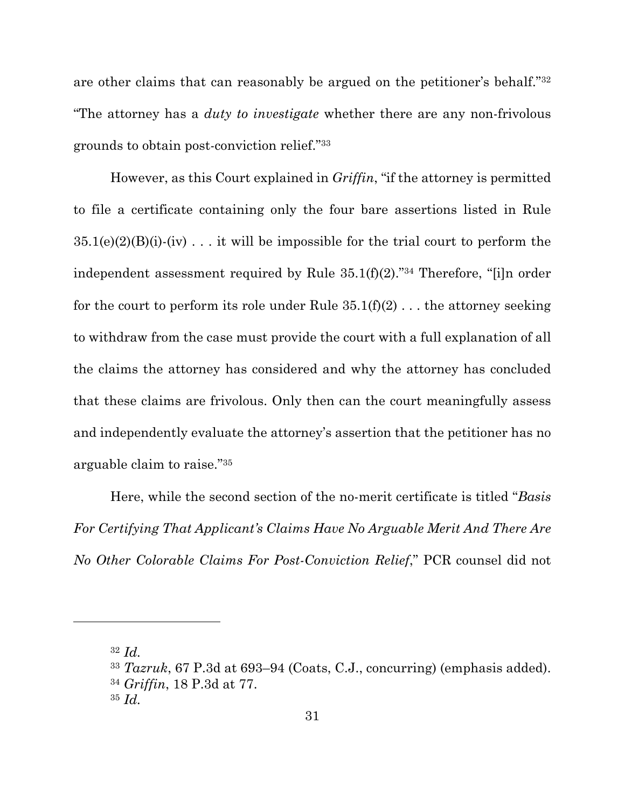are other claims that can reasonably be argued on the petitioner's behalf."32 "The attorney has a *duty to investigate* whether there are any non-frivolous grounds to obtain post-conviction relief."33

However, as this Court explained in *Griffin*, "if the attorney is permitted to file a certificate containing only the four bare assertions listed in Rule  $35.1(e)(2)(B)(i)$ -(iv)... it will be impossible for the trial court to perform the independent assessment required by Rule 35.1(f)(2)."34 Therefore, "[i]n order for the court to perform its role under Rule  $35.1(f)(2)$ ... the attorney seeking to withdraw from the case must provide the court with a full explanation of all the claims the attorney has considered and why the attorney has concluded that these claims are frivolous. Only then can the court meaningfully assess and independently evaluate the attorney's assertion that the petitioner has no arguable claim to raise."35

Here, while the second section of the no-merit certificate is titled "*Basis For Certifying That Applicant's Claims Have No Arguable Merit And There Are No Other Colorable Claims For Post-Conviction Relief*," PCR counsel did not

<sup>32</sup> *Id.*

<sup>33</sup> *Tazruk*, 67 P.3d at 693–94 (Coats, C.J., concurring) (emphasis added). <sup>34</sup> *Griffin*, 18 P.3d at 77.

<sup>35</sup> *Id.*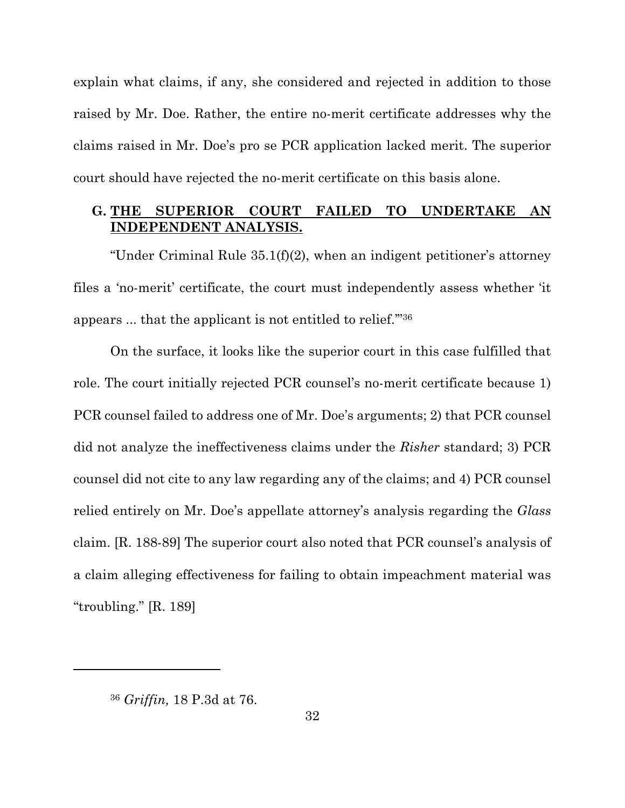explain what claims, if any, she considered and rejected in addition to those raised by Mr. Doe. Rather, the entire no-merit certificate addresses why the claims raised in Mr. Doe's pro se PCR application lacked merit. The superior court should have rejected the no-merit certificate on this basis alone.

## **G. THE SUPERIOR COURT FAILED TO UNDERTAKE AN INDEPENDENT ANALYSIS.**

"Under Criminal Rule 35.1(f)(2), when an indigent petitioner's attorney files a 'no-merit' certificate, the court must independently assess whether 'it appears ... that the applicant is not entitled to relief.'"36

On the surface, it looks like the superior court in this case fulfilled that role. The court initially rejected PCR counsel's no-merit certificate because 1) PCR counsel failed to address one of Mr. Doe's arguments; 2) that PCR counsel did not analyze the ineffectiveness claims under the *Risher* standard; 3) PCR counsel did not cite to any law regarding any of the claims; and 4) PCR counsel relied entirely on Mr. Doe's appellate attorney's analysis regarding the *Glass* claim. [R. 188-89] The superior court also noted that PCR counsel's analysis of a claim alleging effectiveness for failing to obtain impeachment material was "troubling." [R. 189]

<sup>36</sup> *Griffin,* 18 P.3d at 76.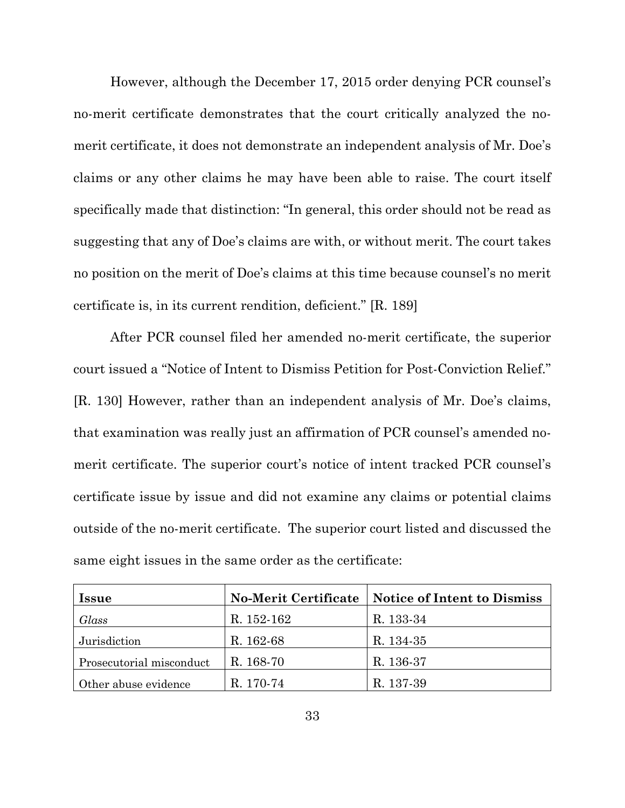However, although the December 17, 2015 order denying PCR counsel's no-merit certificate demonstrates that the court critically analyzed the nomerit certificate, it does not demonstrate an independent analysis of Mr. Doe's claims or any other claims he may have been able to raise. The court itself specifically made that distinction: "In general, this order should not be read as suggesting that any of Doe's claims are with, or without merit. The court takes no position on the merit of Doe's claims at this time because counsel's no merit certificate is, in its current rendition, deficient." [R. 189]

After PCR counsel filed her amended no-merit certificate, the superior court issued a "Notice of Intent to Dismiss Petition for Post-Conviction Relief." [R. 130] However, rather than an independent analysis of Mr. Doe's claims, that examination was really just an affirmation of PCR counsel's amended nomerit certificate. The superior court's notice of intent tracked PCR counsel's certificate issue by issue and did not examine any claims or potential claims outside of the no-merit certificate. The superior court listed and discussed the same eight issues in the same order as the certificate:

| <i>Issue</i>             |            | No-Merit Certificate   Notice of Intent to Dismiss |
|--------------------------|------------|----------------------------------------------------|
| Glass                    | R. 152-162 | R. 133-34                                          |
| Jurisdiction             | R. 162-68  | R. 134-35                                          |
| Prosecutorial misconduct | R. 168-70  | R. 136-37                                          |
| Other abuse evidence     | R. 170-74  | R. 137-39                                          |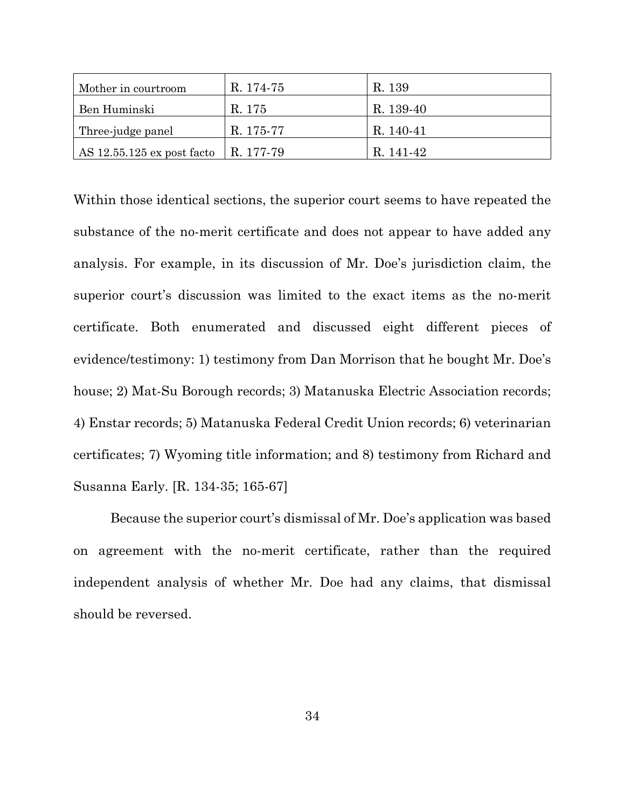| Mother in courtroom          | R. 174-75 | R. 139    |
|------------------------------|-----------|-----------|
| Ben Huminski                 | R. 175    | R. 139-40 |
| Three-judge panel            | R. 175-77 | R. 140-41 |
| AS $12.55.125$ ex post facto | R. 177-79 | R 141-42  |

Within those identical sections, the superior court seems to have repeated the substance of the no-merit certificate and does not appear to have added any analysis. For example, in its discussion of Mr. Doe's jurisdiction claim, the superior court's discussion was limited to the exact items as the no-merit certificate. Both enumerated and discussed eight different pieces of evidence/testimony: 1) testimony from Dan Morrison that he bought Mr. Doe's house; 2) Mat-Su Borough records; 3) Matanuska Electric Association records; 4) Enstar records; 5) Matanuska Federal Credit Union records; 6) veterinarian certificates; 7) Wyoming title information; and 8) testimony from Richard and Susanna Early. [R. 134-35; 165-67]

Because the superior court's dismissal of Mr. Doe's application was based on agreement with the no-merit certificate, rather than the required independent analysis of whether Mr. Doe had any claims, that dismissal should be reversed.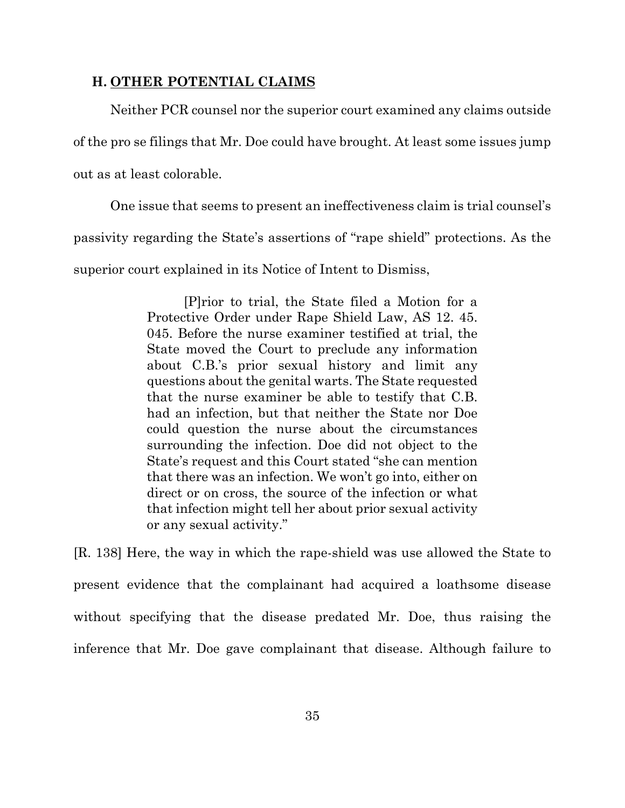### **H. OTHER POTENTIAL CLAIMS**

Neither PCR counsel nor the superior court examined any claims outside of the pro se filings that Mr. Doe could have brought. At least some issues jump out as at least colorable.

One issue that seems to present an ineffectiveness claim is trial counsel's passivity regarding the State's assertions of "rape shield" protections. As the superior court explained in its Notice of Intent to Dismiss,

> [P]rior to trial, the State filed a Motion for a Protective Order under Rape Shield Law, AS 12. 45. 045. Before the nurse examiner testified at trial, the State moved the Court to preclude any information about C.B.'s prior sexual history and limit any questions about the genital warts. The State requested that the nurse examiner be able to testify that C.B. had an infection, but that neither the State nor Doe could question the nurse about the circumstances surrounding the infection. Doe did not object to the State's request and this Court stated "she can mention that there was an infection. We won't go into, either on direct or on cross, the source of the infection or what that infection might tell her about prior sexual activity or any sexual activity."

[R. 138] Here, the way in which the rape-shield was use allowed the State to present evidence that the complainant had acquired a loathsome disease without specifying that the disease predated Mr. Doe, thus raising the inference that Mr. Doe gave complainant that disease. Although failure to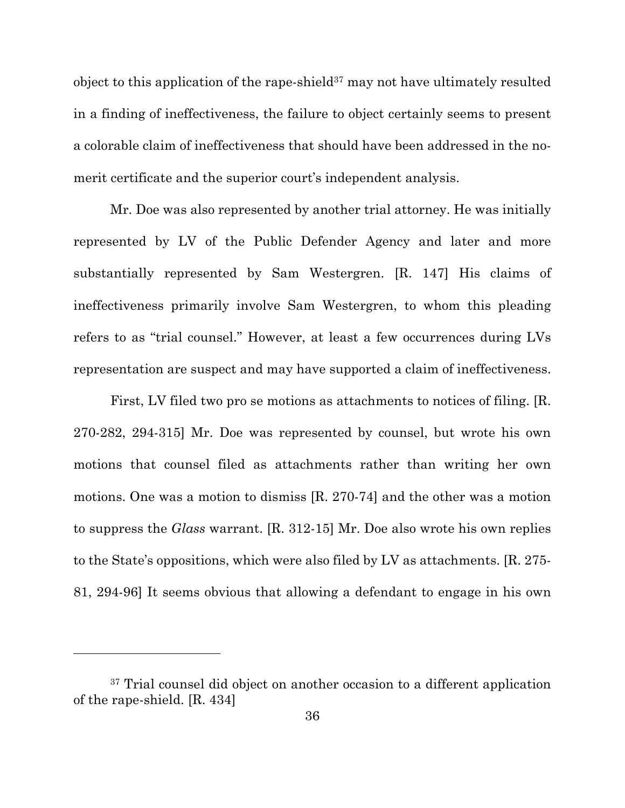object to this application of the rape-shield $37$  may not have ultimately resulted in a finding of ineffectiveness, the failure to object certainly seems to present a colorable claim of ineffectiveness that should have been addressed in the nomerit certificate and the superior court's independent analysis.

Mr. Doe was also represented by another trial attorney. He was initially represented by LV of the Public Defender Agency and later and more substantially represented by Sam Westergren. [R. 147] His claims of ineffectiveness primarily involve Sam Westergren, to whom this pleading refers to as "trial counsel." However, at least a few occurrences during LVs representation are suspect and may have supported a claim of ineffectiveness.

First, LV filed two pro se motions as attachments to notices of filing. [R. 270-282, 294-315] Mr. Doe was represented by counsel, but wrote his own motions that counsel filed as attachments rather than writing her own motions. One was a motion to dismiss [R. 270-74] and the other was a motion to suppress the *Glass* warrant. [R. 312-15] Mr. Doe also wrote his own replies to the State's oppositions, which were also filed by LV as attachments. [R. 275- 81, 294-96] It seems obvious that allowing a defendant to engage in his own

l

<sup>&</sup>lt;sup>37</sup> Trial counsel did object on another occasion to a different application of the rape-shield. [R. 434]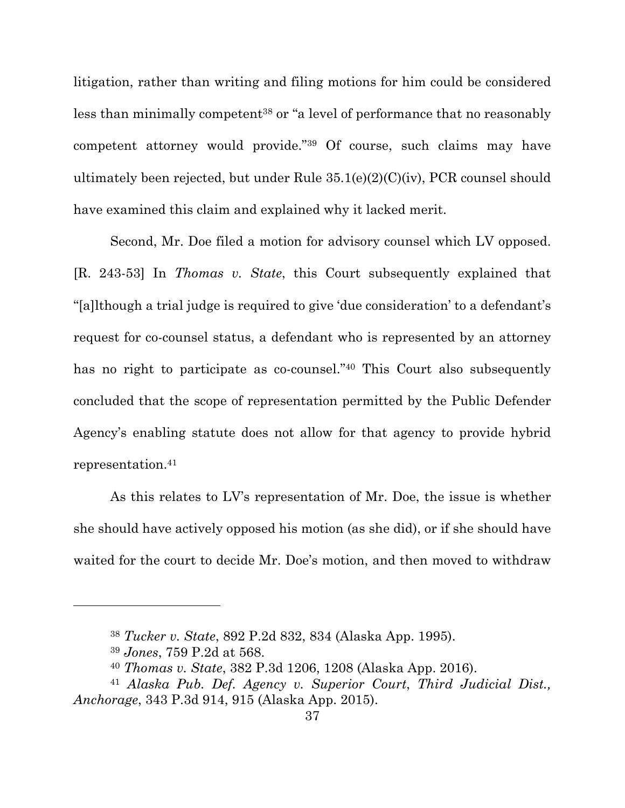litigation, rather than writing and filing motions for him could be considered less than minimally competent<sup>38</sup> or "a level of performance that no reasonably competent attorney would provide."39 Of course, such claims may have ultimately been rejected, but under Rule 35.1(e)(2)(C)(iv), PCR counsel should have examined this claim and explained why it lacked merit.

Second, Mr. Doe filed a motion for advisory counsel which LV opposed. [R. 243-53] In *Thomas v. State*, this Court subsequently explained that "[a]lthough a trial judge is required to give 'due consideration' to a defendant's request for co-counsel status, a defendant who is represented by an attorney has no right to participate as co-counsel."<sup>40</sup> This Court also subsequently concluded that the scope of representation permitted by the Public Defender Agency's enabling statute does not allow for that agency to provide hybrid representation.41

As this relates to LV's representation of Mr. Doe, the issue is whether she should have actively opposed his motion (as she did), or if she should have waited for the court to decide Mr. Doe's motion, and then moved to withdraw

<sup>38</sup> *Tucker v. State*, 892 P.2d 832, 834 (Alaska App. 1995).

<sup>39</sup> *Jones*, 759 P.2d at 568.

<sup>40</sup> *Thomas v. State*, 382 P.3d 1206, 1208 (Alaska App. 2016).

<sup>41</sup> *Alaska Pub. Def. Agency v. Superior Court*, *Third Judicial Dist., Anchorage*, 343 P.3d 914, 915 (Alaska App. 2015).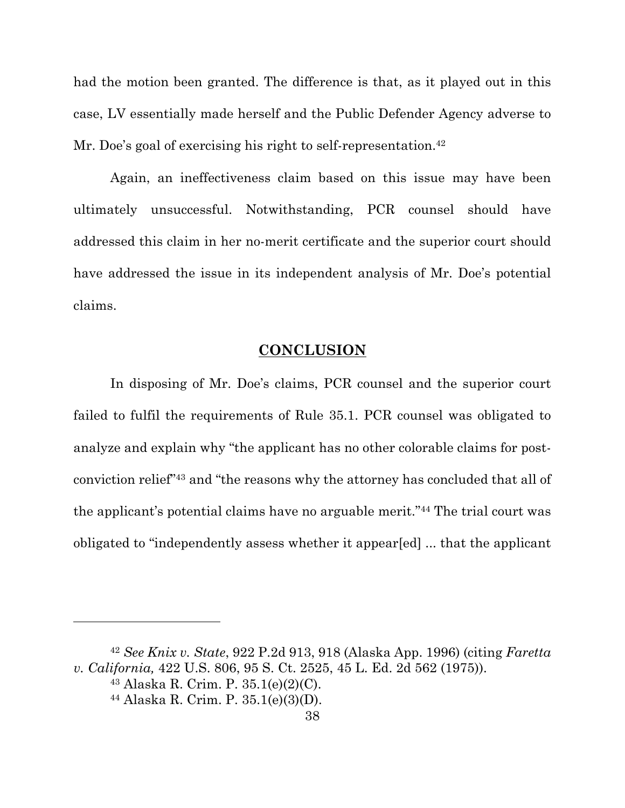had the motion been granted. The difference is that, as it played out in this case, LV essentially made herself and the Public Defender Agency adverse to Mr. Doe's goal of exercising his right to self-representation.<sup>42</sup>

Again, an ineffectiveness claim based on this issue may have been ultimately unsuccessful. Notwithstanding, PCR counsel should have addressed this claim in her no-merit certificate and the superior court should have addressed the issue in its independent analysis of Mr. Doe's potential claims.

## **CONCLUSION**

In disposing of Mr. Doe's claims, PCR counsel and the superior court failed to fulfil the requirements of Rule 35.1. PCR counsel was obligated to analyze and explain why "the applicant has no other colorable claims for postconviction relief"43 and "the reasons why the attorney has concluded that all of the applicant's potential claims have no arguable merit."44 The trial court was obligated to "independently assess whether it appear[ed] ... that the applicant

<sup>42</sup> *See Knix v. State*, 922 P.2d 913, 918 (Alaska App. 1996) (citing *Faretta v. California,* 422 U.S. 806, 95 S. Ct. 2525, 45 L. Ed. 2d 562 (1975)).

<sup>43</sup> Alaska R. Crim. P. 35.1(e)(2)(C).

<sup>44</sup> Alaska R. Crim. P. 35.1(e)(3)(D).